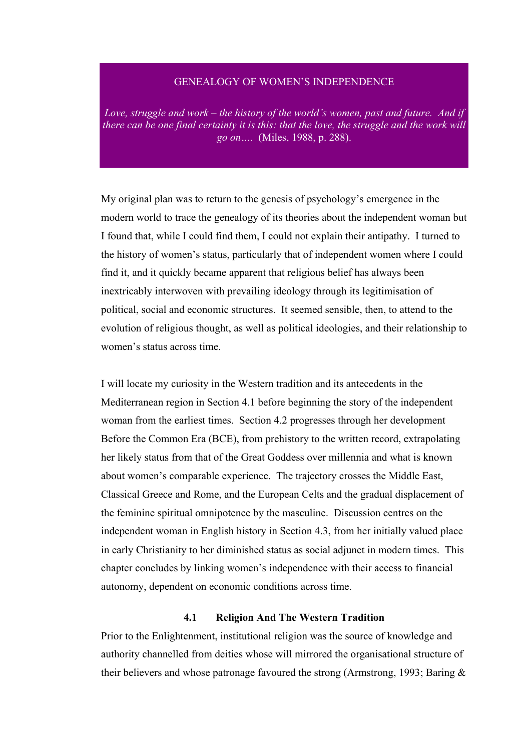# GENEALOGY OF WOMEN'S INDEPENDENCE

Love, struggle and work – the history of the world's women, past and future. And if *there can be one final certainty it is this: that the love, the struggle and the work will go on….* (Miles, 1988, p. 288).

My original plan was to return to the genesis of psychology's emergence in the modern world to trace the genealogy of its theories about the independent woman but I found that, while I could find them, I could not explain their antipathy. I turned to the history of women's status, particularly that of independent women where I could find it, and it quickly became apparent that religious belief has always been inextricably interwoven with prevailing ideology through its legitimisation of political, social and economic structures. It seemed sensible, then, to attend to the evolution of religious thought, as well as political ideologies, and their relationship to women's status across time.

I will locate my curiosity in the Western tradition and its antecedents in the Mediterranean region in Section 4.1 before beginning the story of the independent woman from the earliest times. Section 4.2 progresses through her development Before the Common Era (BCE), from prehistory to the written record, extrapolating her likely status from that of the Great Goddess over millennia and what is known about women's comparable experience. The trajectory crosses the Middle East, Classical Greece and Rome, and the European Celts and the gradual displacement of the feminine spiritual omnipotence by the masculine. Discussion centres on the independent woman in English history in Section 4.3, from her initially valued place in early Christianity to her diminished status as social adjunct in modern times. This chapter concludes by linking women's independence with their access to financial autonomy, dependent on economic conditions across time.

#### **4.1 Religion And The Western Tradition**

Prior to the Enlightenment, institutional religion was the source of knowledge and authority channelled from deities whose will mirrored the organisational structure of their believers and whose patronage favoured the strong (Armstrong, 1993; Baring &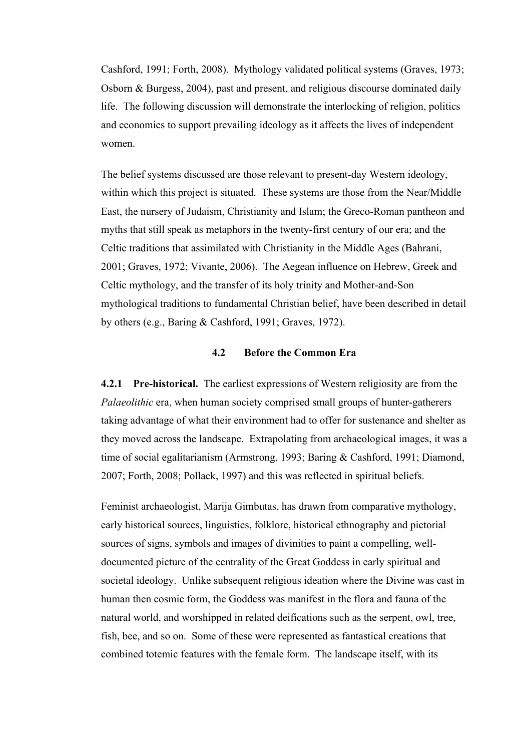Cashford, 1991; Forth, 2008). Mythology validated political systems (Graves, 1973; Osborn & Burgess, 2004), past and present, and religious discourse dominated daily life. The following discussion will demonstrate the interlocking of religion, politics and economics to support prevailing ideology as it affects the lives of independent women.

The belief systems discussed are those relevant to present-day Western ideology, within which this project is situated. These systems are those from the Near/Middle East, the nursery of Judaism, Christianity and Islam; the Greco-Roman pantheon and myths that still speak as metaphors in the twenty-first century of our era; and the Celtic traditions that assimilated with Christianity in the Middle Ages (Bahrani, 2001; Graves, 1972; Vivante, 2006). The Aegean influence on Hebrew, Greek and Celtic mythology, and the transfer of its holy trinity and Mother-and-Son mythological traditions to fundamental Christian belief, have been described in detail by others (e.g., Baring & Cashford, 1991; Graves, 1972).

#### **4.2 Before the Common Era**

**4.2.1 Pre-historical.** The earliest expressions of Western religiosity are from the *Palaeolithic* era, when human society comprised small groups of hunter-gatherers taking advantage of what their environment had to offer for sustenance and shelter as they moved across the landscape. Extrapolating from archaeological images, it was a time of social egalitarianism (Armstrong, 1993; Baring & Cashford, 1991; Diamond, 2007; Forth, 2008; Pollack, 1997) and this was reflected in spiritual beliefs.

Feminist archaeologist, Marija Gimbutas, has drawn from comparative mythology, early historical sources, linguistics, folklore, historical ethnography and pictorial sources of signs, symbols and images of divinities to paint a compelling, welldocumented picture of the centrality of the Great Goddess in early spiritual and societal ideology. Unlike subsequent religious ideation where the Divine was cast in human then cosmic form, the Goddess was manifest in the flora and fauna of the natural world, and worshipped in related deifications such as the serpent, owl, tree, fish, bee, and so on. Some of these were represented as fantastical creations that combined totemic features with the female form. The landscape itself, with its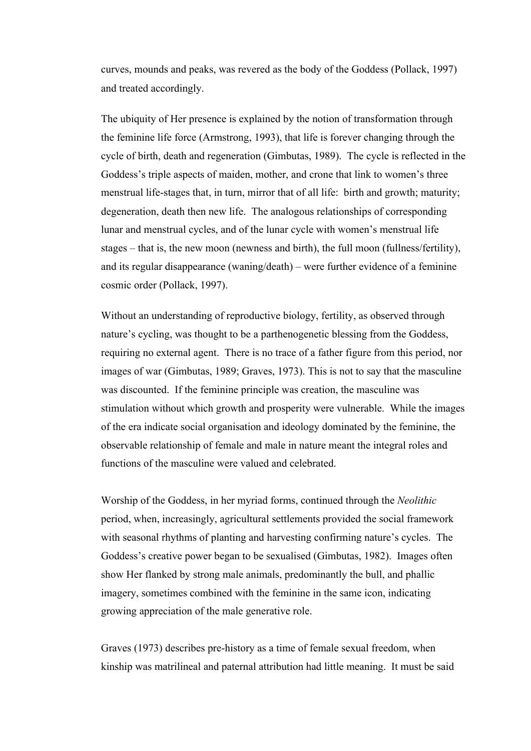curves, mounds and peaks, was revered as the body of the Goddess (Pollack, 1997) and treated accordingly.

The ubiquity of Her presence is explained by the notion of transformation through the feminine life force (Armstrong, 1993), that life is forever changing through the cycle of birth, death and regeneration (Gimbutas, 1989). The cycle is reflected in the Goddess's triple aspects of maiden, mother, and crone that link to women's three menstrual life-stages that, in turn, mirror that of all life: birth and growth; maturity; degeneration, death then new life. The analogous relationships of corresponding lunar and menstrual cycles, and of the lunar cycle with women's menstrual life stages – that is, the new moon (newness and birth), the full moon (fullness/fertility), and its regular disappearance (waning/death) – were further evidence of a feminine cosmic order (Pollack, 1997).

Without an understanding of reproductive biology, fertility, as observed through nature's cycling, was thought to be a parthenogenetic blessing from the Goddess, requiring no external agent. There is no trace of a father figure from this period, nor images of war (Gimbutas, 1989; Graves, 1973). This is not to say that the masculine was discounted. If the feminine principle was creation, the masculine was stimulation without which growth and prosperity were vulnerable. While the images of the era indicate social organisation and ideology dominated by the feminine, the observable relationship of female and male in nature meant the integral roles and functions of the masculine were valued and celebrated.

Worship of the Goddess, in her myriad forms, continued through the *Neolithic* period, when, increasingly, agricultural settlements provided the social framework with seasonal rhythms of planting and harvesting confirming nature's cycles. The Goddess's creative power began to be sexualised (Gimbutas, 1982). Images often show Her flanked by strong male animals, predominantly the bull, and phallic imagery, sometimes combined with the feminine in the same icon, indicating growing appreciation of the male generative role.

Graves (1973) describes pre-history as a time of female sexual freedom, when kinship was matrilineal and paternal attribution had little meaning. It must be said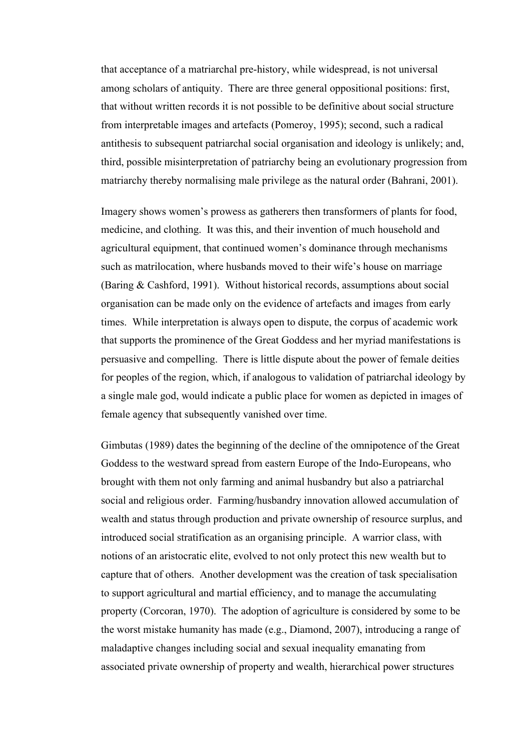that acceptance of a matriarchal pre-history, while widespread, is not universal among scholars of antiquity. There are three general oppositional positions: first, that without written records it is not possible to be definitive about social structure from interpretable images and artefacts (Pomeroy, 1995); second, such a radical antithesis to subsequent patriarchal social organisation and ideology is unlikely; and, third, possible misinterpretation of patriarchy being an evolutionary progression from matriarchy thereby normalising male privilege as the natural order (Bahrani, 2001).

Imagery shows women's prowess as gatherers then transformers of plants for food, medicine, and clothing. It was this, and their invention of much household and agricultural equipment, that continued women's dominance through mechanisms such as matrilocation, where husbands moved to their wife's house on marriage (Baring & Cashford, 1991). Without historical records, assumptions about social organisation can be made only on the evidence of artefacts and images from early times. While interpretation is always open to dispute, the corpus of academic work that supports the prominence of the Great Goddess and her myriad manifestations is persuasive and compelling. There is little dispute about the power of female deities for peoples of the region, which, if analogous to validation of patriarchal ideology by a single male god, would indicate a public place for women as depicted in images of female agency that subsequently vanished over time.

Gimbutas (1989) dates the beginning of the decline of the omnipotence of the Great Goddess to the westward spread from eastern Europe of the Indo-Europeans, who brought with them not only farming and animal husbandry but also a patriarchal social and religious order. Farming/husbandry innovation allowed accumulation of wealth and status through production and private ownership of resource surplus, and introduced social stratification as an organising principle. A warrior class, with notions of an aristocratic elite, evolved to not only protect this new wealth but to capture that of others. Another development was the creation of task specialisation to support agricultural and martial efficiency, and to manage the accumulating property (Corcoran, 1970). The adoption of agriculture is considered by some to be the worst mistake humanity has made (e.g., Diamond, 2007), introducing a range of maladaptive changes including social and sexual inequality emanating from associated private ownership of property and wealth, hierarchical power structures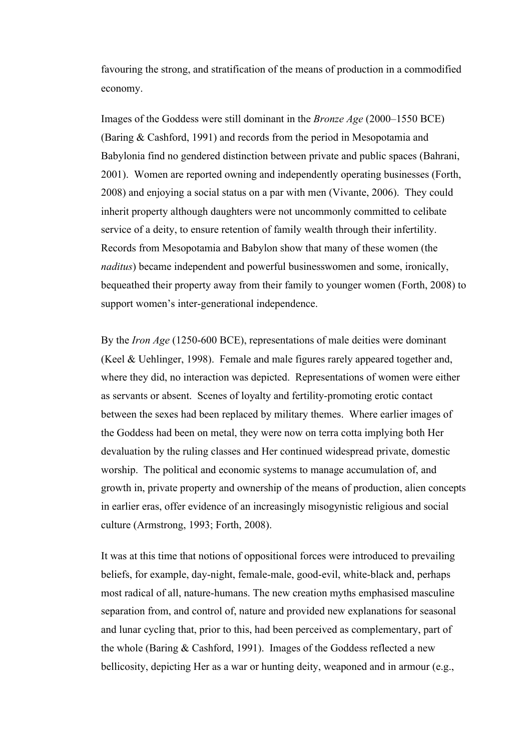favouring the strong, and stratification of the means of production in a commodified economy.

Images of the Goddess were still dominant in the *Bronze Age* (2000–1550 BCE) (Baring & Cashford, 1991) and records from the period in Mesopotamia and Babylonia find no gendered distinction between private and public spaces (Bahrani, 2001). Women are reported owning and independently operating businesses (Forth, 2008) and enjoying a social status on a par with men (Vivante, 2006). They could inherit property although daughters were not uncommonly committed to celibate service of a deity, to ensure retention of family wealth through their infertility. Records from Mesopotamia and Babylon show that many of these women (the *naditus*) became independent and powerful businesswomen and some, ironically, bequeathed their property away from their family to younger women (Forth, 2008) to support women's inter-generational independence.

By the *Iron Age* (1250-600 BCE), representations of male deities were dominant (Keel & Uehlinger, 1998). Female and male figures rarely appeared together and, where they did, no interaction was depicted. Representations of women were either as servants or absent. Scenes of loyalty and fertility-promoting erotic contact between the sexes had been replaced by military themes. Where earlier images of the Goddess had been on metal, they were now on terra cotta implying both Her devaluation by the ruling classes and Her continued widespread private, domestic worship. The political and economic systems to manage accumulation of, and growth in, private property and ownership of the means of production, alien concepts in earlier eras, offer evidence of an increasingly misogynistic religious and social culture (Armstrong, 1993; Forth, 2008).

It was at this time that notions of oppositional forces were introduced to prevailing beliefs, for example, day-night, female-male, good-evil, white-black and, perhaps most radical of all, nature-humans. The new creation myths emphasised masculine separation from, and control of, nature and provided new explanations for seasonal and lunar cycling that, prior to this, had been perceived as complementary, part of the whole (Baring & Cashford, 1991). Images of the Goddess reflected a new bellicosity, depicting Her as a war or hunting deity, weaponed and in armour (e.g.,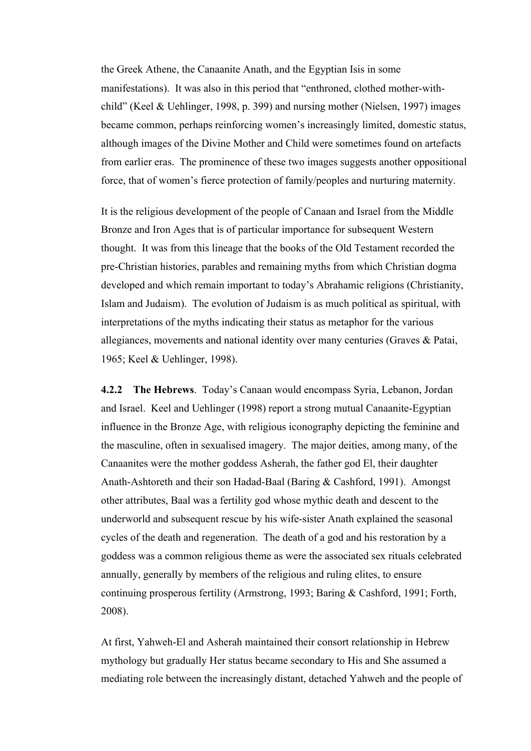the Greek Athene, the Canaanite Anath, and the Egyptian Isis in some manifestations). It was also in this period that "enthroned, clothed mother-withchild" (Keel & Uehlinger, 1998, p. 399) and nursing mother (Nielsen, 1997) images became common, perhaps reinforcing women's increasingly limited, domestic status, although images of the Divine Mother and Child were sometimes found on artefacts from earlier eras. The prominence of these two images suggests another oppositional force, that of women's fierce protection of family/peoples and nurturing maternity.

It is the religious development of the people of Canaan and Israel from the Middle Bronze and Iron Ages that is of particular importance for subsequent Western thought. It was from this lineage that the books of the Old Testament recorded the pre-Christian histories, parables and remaining myths from which Christian dogma developed and which remain important to today's Abrahamic religions (Christianity, Islam and Judaism). The evolution of Judaism is as much political as spiritual, with interpretations of the myths indicating their status as metaphor for the various allegiances, movements and national identity over many centuries (Graves & Patai, 1965; Keel & Uehlinger, 1998).

**4.2.2 The Hebrews**. Today's Canaan would encompass Syria, Lebanon, Jordan and Israel. Keel and Uehlinger (1998) report a strong mutual Canaanite-Egyptian influence in the Bronze Age, with religious iconography depicting the feminine and the masculine, often in sexualised imagery. The major deities, among many, of the Canaanites were the mother goddess Asherah, the father god El, their daughter Anath-Ashtoreth and their son Hadad-Baal (Baring & Cashford, 1991). Amongst other attributes, Baal was a fertility god whose mythic death and descent to the underworld and subsequent rescue by his wife-sister Anath explained the seasonal cycles of the death and regeneration. The death of a god and his restoration by a goddess was a common religious theme as were the associated sex rituals celebrated annually, generally by members of the religious and ruling elites, to ensure continuing prosperous fertility (Armstrong, 1993; Baring & Cashford, 1991; Forth, 2008).

At first, Yahweh-El and Asherah maintained their consort relationship in Hebrew mythology but gradually Her status became secondary to His and She assumed a mediating role between the increasingly distant, detached Yahweh and the people of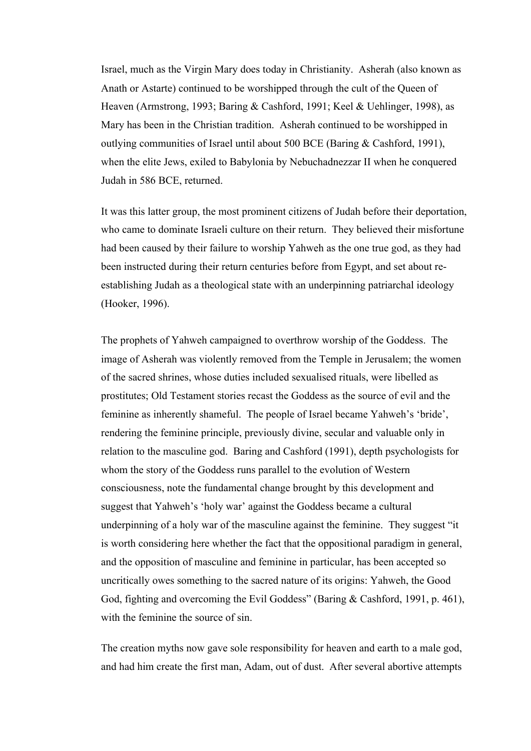Israel, much as the Virgin Mary does today in Christianity. Asherah (also known as Anath or Astarte) continued to be worshipped through the cult of the Queen of Heaven (Armstrong, 1993; Baring & Cashford, 1991; Keel & Uehlinger, 1998), as Mary has been in the Christian tradition. Asherah continued to be worshipped in outlying communities of Israel until about 500 BCE (Baring & Cashford, 1991), when the elite Jews, exiled to Babylonia by Nebuchadnezzar II when he conquered Judah in 586 BCE, returned.

It was this latter group, the most prominent citizens of Judah before their deportation, who came to dominate Israeli culture on their return. They believed their misfortune had been caused by their failure to worship Yahweh as the one true god, as they had been instructed during their return centuries before from Egypt, and set about reestablishing Judah as a theological state with an underpinning patriarchal ideology (Hooker, 1996).

The prophets of Yahweh campaigned to overthrow worship of the Goddess. The image of Asherah was violently removed from the Temple in Jerusalem; the women of the sacred shrines, whose duties included sexualised rituals, were libelled as prostitutes; Old Testament stories recast the Goddess as the source of evil and the feminine as inherently shameful. The people of Israel became Yahweh's 'bride', rendering the feminine principle, previously divine, secular and valuable only in relation to the masculine god. Baring and Cashford (1991), depth psychologists for whom the story of the Goddess runs parallel to the evolution of Western consciousness, note the fundamental change brought by this development and suggest that Yahweh's 'holy war' against the Goddess became a cultural underpinning of a holy war of the masculine against the feminine. They suggest "it is worth considering here whether the fact that the oppositional paradigm in general, and the opposition of masculine and feminine in particular, has been accepted so uncritically owes something to the sacred nature of its origins: Yahweh, the Good God, fighting and overcoming the Evil Goddess" (Baring & Cashford, 1991, p. 461), with the feminine the source of sin.

The creation myths now gave sole responsibility for heaven and earth to a male god, and had him create the first man, Adam, out of dust. After several abortive attempts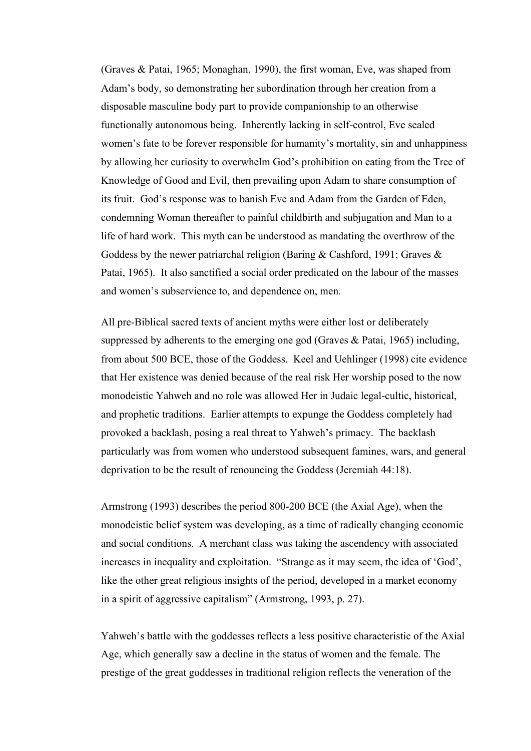(Graves & Patai, 1965; Monaghan, 1990), the first woman, Eve, was shaped from Adam's body, so demonstrating her subordination through her creation from a disposable masculine body part to provide companionship to an otherwise functionally autonomous being. Inherently lacking in self-control, Eve sealed women's fate to be forever responsible for humanity's mortality, sin and unhappiness by allowing her curiosity to overwhelm God's prohibition on eating from the Tree of Knowledge of Good and Evil, then prevailing upon Adam to share consumption of its fruit. God's response was to banish Eve and Adam from the Garden of Eden, condemning Woman thereafter to painful childbirth and subjugation and Man to a life of hard work. This myth can be understood as mandating the overthrow of the Goddess by the newer patriarchal religion (Baring & Cashford, 1991; Graves & Patai, 1965). It also sanctified a social order predicated on the labour of the masses and women's subservience to, and dependence on, men.

All pre-Biblical sacred texts of ancient myths were either lost or deliberately suppressed by adherents to the emerging one god (Graves & Patai, 1965) including, from about 500 BCE, those of the Goddess. Keel and Uehlinger (1998) cite evidence that Her existence was denied because of the real risk Her worship posed to the now monodeistic Yahweh and no role was allowed Her in Judaic legal-cultic, historical, and prophetic traditions. Earlier attempts to expunge the Goddess completely had provoked a backlash, posing a real threat to Yahweh's primacy. The backlash particularly was from women who understood subsequent famines, wars, and general deprivation to be the result of renouncing the Goddess (Jeremiah 44:18).

Armstrong (1993) describes the period 800-200 BCE (the Axial Age), when the monodeistic belief system was developing, as a time of radically changing economic and social conditions. A merchant class was taking the ascendency with associated increases in inequality and exploitation. "Strange as it may seem, the idea of 'God', like the other great religious insights of the period, developed in a market economy in a spirit of aggressive capitalism" (Armstrong, 1993, p. 27).

Yahweh's battle with the goddesses reflects a less positive characteristic of the Axial Age, which generally saw a decline in the status of women and the female. The prestige of the great goddesses in traditional religion reflects the veneration of the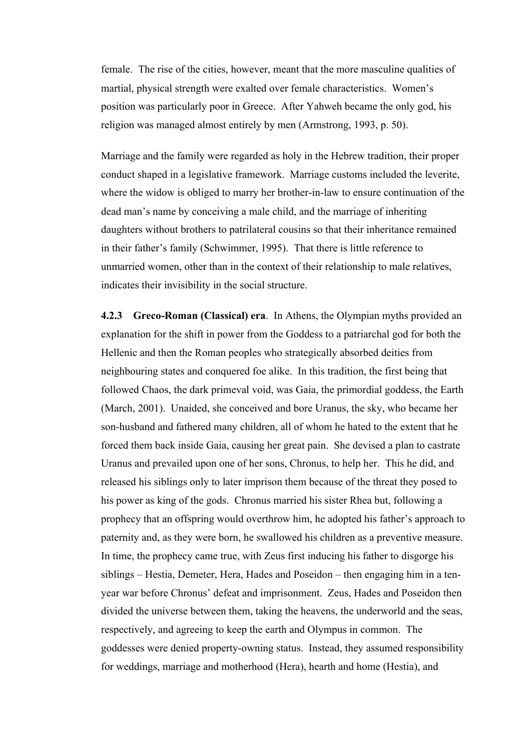female. The rise of the cities, however, meant that the more masculine qualities of martial, physical strength were exalted over female characteristics. Women's position was particularly poor in Greece. After Yahweh became the only god, his religion was managed almost entirely by men (Armstrong, 1993, p. 50).

Marriage and the family were regarded as holy in the Hebrew tradition, their proper conduct shaped in a legislative framework. Marriage customs included the leverite, where the widow is obliged to marry her brother-in-law to ensure continuation of the dead man's name by conceiving a male child, and the marriage of inheriting daughters without brothers to patrilateral cousins so that their inheritance remained in their father's family (Schwimmer, 1995). That there is little reference to unmarried women, other than in the context of their relationship to male relatives, indicates their invisibility in the social structure.

**4.2.3 Greco-Roman (Classical) era**. In Athens, the Olympian myths provided an explanation for the shift in power from the Goddess to a patriarchal god for both the Hellenic and then the Roman peoples who strategically absorbed deities from neighbouring states and conquered foe alike. In this tradition, the first being that followed Chaos, the dark primeval void, was Gaia, the primordial goddess, the Earth (March, 2001). Unaided, she conceived and bore Uranus, the sky, who became her son-husband and fathered many children, all of whom he hated to the extent that he forced them back inside Gaia, causing her great pain. She devised a plan to castrate Uranus and prevailed upon one of her sons, Chronus, to help her. This he did, and released his siblings only to later imprison them because of the threat they posed to his power as king of the gods. Chronus married his sister Rhea but, following a prophecy that an offspring would overthrow him, he adopted his father's approach to paternity and, as they were born, he swallowed his children as a preventive measure. In time, the prophecy came true, with Zeus first inducing his father to disgorge his siblings – Hestia, Demeter, Hera, Hades and Poseidon – then engaging him in a tenyear war before Chronus' defeat and imprisonment. Zeus, Hades and Poseidon then divided the universe between them, taking the heavens, the underworld and the seas, respectively, and agreeing to keep the earth and Olympus in common. The goddesses were denied property-owning status. Instead, they assumed responsibility for weddings, marriage and motherhood (Hera), hearth and home (Hestia), and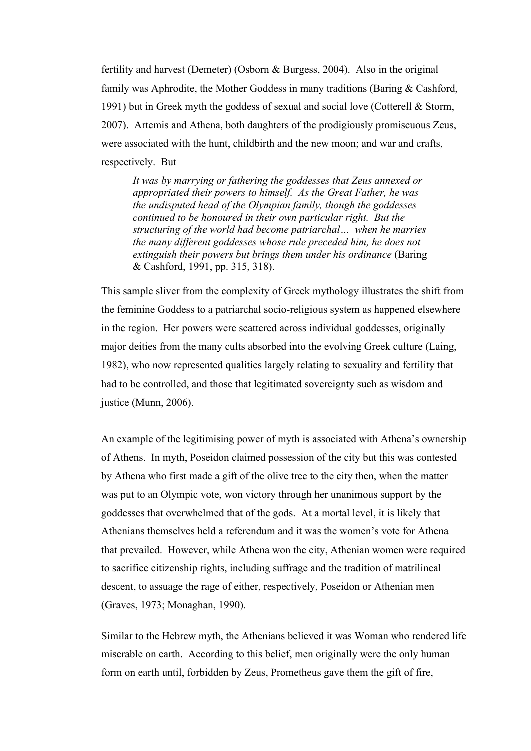fertility and harvest (Demeter) (Osborn & Burgess, 2004). Also in the original family was Aphrodite, the Mother Goddess in many traditions (Baring & Cashford, 1991) but in Greek myth the goddess of sexual and social love (Cotterell & Storm, 2007). Artemis and Athena, both daughters of the prodigiously promiscuous Zeus, were associated with the hunt, childbirth and the new moon; and war and crafts, respectively. But

*It was by marrying or fathering the goddesses that Zeus annexed or appropriated their powers to himself. As the Great Father, he was the undisputed head of the Olympian family, though the goddesses continued to be honoured in their own particular right. But the structuring of the world had become patriarchal… when he marries the many different goddesses whose rule preceded him, he does not extinguish their powers but brings them under his ordinance* (Baring & Cashford, 1991, pp. 315, 318).

This sample sliver from the complexity of Greek mythology illustrates the shift from the feminine Goddess to a patriarchal socio-religious system as happened elsewhere in the region. Her powers were scattered across individual goddesses, originally major deities from the many cults absorbed into the evolving Greek culture (Laing, 1982), who now represented qualities largely relating to sexuality and fertility that had to be controlled, and those that legitimated sovereignty such as wisdom and justice (Munn, 2006).

An example of the legitimising power of myth is associated with Athena's ownership of Athens. In myth, Poseidon claimed possession of the city but this was contested by Athena who first made a gift of the olive tree to the city then, when the matter was put to an Olympic vote, won victory through her unanimous support by the goddesses that overwhelmed that of the gods. At a mortal level, it is likely that Athenians themselves held a referendum and it was the women's vote for Athena that prevailed. However, while Athena won the city, Athenian women were required to sacrifice citizenship rights, including suffrage and the tradition of matrilineal descent, to assuage the rage of either, respectively, Poseidon or Athenian men (Graves, 1973; Monaghan, 1990).

Similar to the Hebrew myth, the Athenians believed it was Woman who rendered life miserable on earth. According to this belief, men originally were the only human form on earth until, forbidden by Zeus, Prometheus gave them the gift of fire,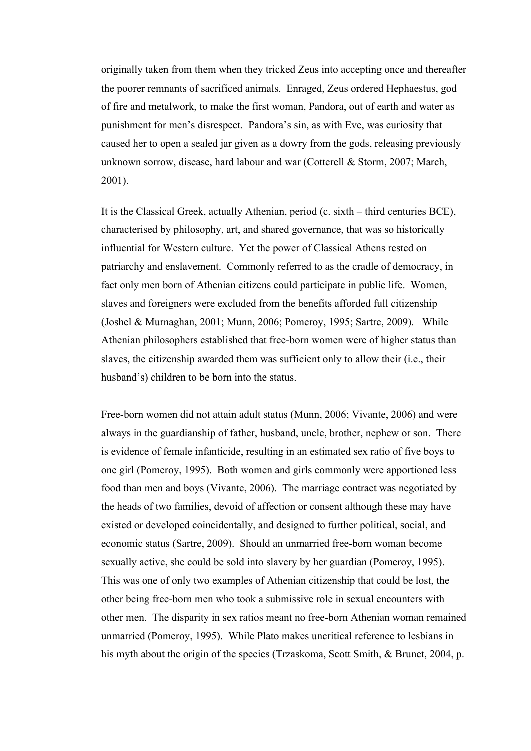originally taken from them when they tricked Zeus into accepting once and thereafter the poorer remnants of sacrificed animals. Enraged, Zeus ordered Hephaestus, god of fire and metalwork, to make the first woman, Pandora, out of earth and water as punishment for men's disrespect. Pandora's sin, as with Eve, was curiosity that caused her to open a sealed jar given as a dowry from the gods, releasing previously unknown sorrow, disease, hard labour and war (Cotterell & Storm, 2007; March, 2001).

It is the Classical Greek, actually Athenian, period (c. sixth – third centuries BCE), characterised by philosophy, art, and shared governance, that was so historically influential for Western culture. Yet the power of Classical Athens rested on patriarchy and enslavement. Commonly referred to as the cradle of democracy, in fact only men born of Athenian citizens could participate in public life. Women, slaves and foreigners were excluded from the benefits afforded full citizenship (Joshel & Murnaghan, 2001; Munn, 2006; Pomeroy, 1995; Sartre, 2009). While Athenian philosophers established that free-born women were of higher status than slaves, the citizenship awarded them was sufficient only to allow their (i.e., their husband's) children to be born into the status.

Free-born women did not attain adult status (Munn, 2006; Vivante, 2006) and were always in the guardianship of father, husband, uncle, brother, nephew or son. There is evidence of female infanticide, resulting in an estimated sex ratio of five boys to one girl (Pomeroy, 1995). Both women and girls commonly were apportioned less food than men and boys (Vivante, 2006). The marriage contract was negotiated by the heads of two families, devoid of affection or consent although these may have existed or developed coincidentally, and designed to further political, social, and economic status (Sartre, 2009). Should an unmarried free-born woman become sexually active, she could be sold into slavery by her guardian (Pomeroy, 1995). This was one of only two examples of Athenian citizenship that could be lost, the other being free-born men who took a submissive role in sexual encounters with other men. The disparity in sex ratios meant no free-born Athenian woman remained unmarried (Pomeroy, 1995). While Plato makes uncritical reference to lesbians in his myth about the origin of the species (Trzaskoma, Scott Smith, & Brunet, 2004, p.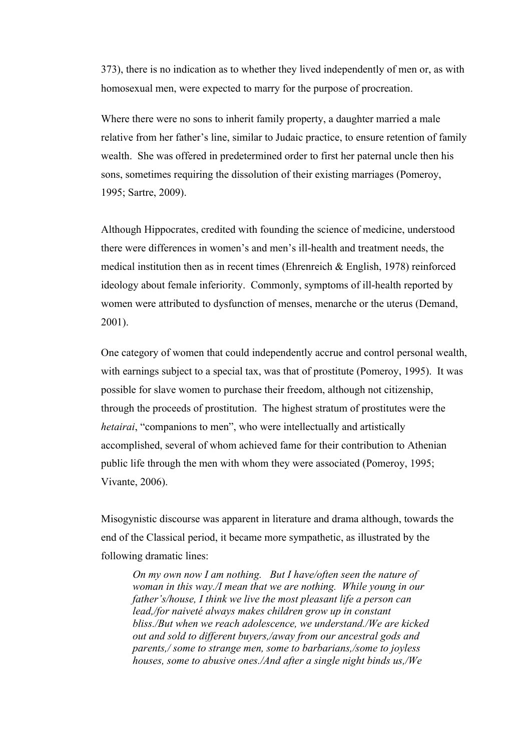373), there is no indication as to whether they lived independently of men or, as with homosexual men, were expected to marry for the purpose of procreation.

Where there were no sons to inherit family property, a daughter married a male relative from her father's line, similar to Judaic practice, to ensure retention of family wealth. She was offered in predetermined order to first her paternal uncle then his sons, sometimes requiring the dissolution of their existing marriages (Pomeroy, 1995; Sartre, 2009).

Although Hippocrates, credited with founding the science of medicine, understood there were differences in women's and men's ill-health and treatment needs, the medical institution then as in recent times (Ehrenreich & English, 1978) reinforced ideology about female inferiority. Commonly, symptoms of ill-health reported by women were attributed to dysfunction of menses, menarche or the uterus (Demand, 2001).

One category of women that could independently accrue and control personal wealth, with earnings subject to a special tax, was that of prostitute (Pomeroy, 1995). It was possible for slave women to purchase their freedom, although not citizenship, through the proceeds of prostitution. The highest stratum of prostitutes were the *hetairai*, "companions to men", who were intellectually and artistically accomplished, several of whom achieved fame for their contribution to Athenian public life through the men with whom they were associated (Pomeroy, 1995; Vivante, 2006).

Misogynistic discourse was apparent in literature and drama although, towards the end of the Classical period, it became more sympathetic, as illustrated by the following dramatic lines:

*On my own now I am nothing. But I have/often seen the nature of woman in this way./I mean that we are nothing. While young in our father's/house, I think we live the most pleasant life a person can lead,/for naiveté always makes children grow up in constant bliss./But when we reach adolescence, we understand./We are kicked out and sold to different buyers,/away from our ancestral gods and parents,/ some to strange men, some to barbarians,/some to joyless houses, some to abusive ones./And after a single night binds us,/We*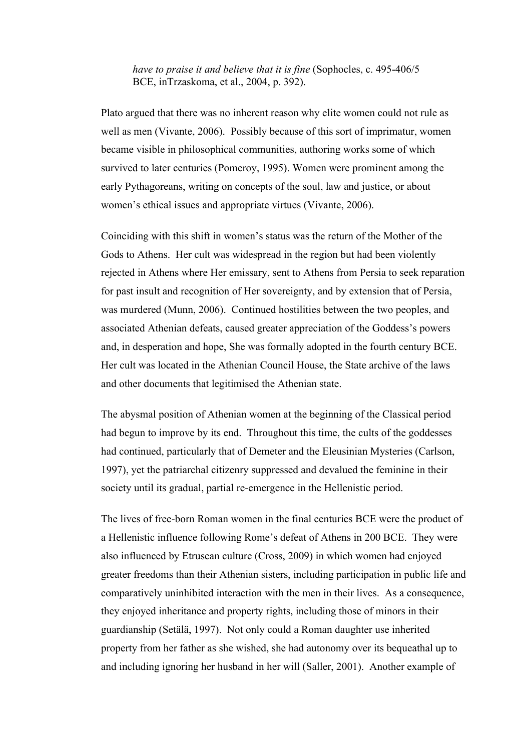*have to praise it and believe that it is fine* (Sophocles, c. 495-406/5 BCE, inTrzaskoma, et al., 2004, p. 392).

Plato argued that there was no inherent reason why elite women could not rule as well as men (Vivante, 2006). Possibly because of this sort of imprimatur, women became visible in philosophical communities, authoring works some of which survived to later centuries (Pomeroy, 1995). Women were prominent among the early Pythagoreans, writing on concepts of the soul, law and justice, or about women's ethical issues and appropriate virtues (Vivante, 2006).

Coinciding with this shift in women's status was the return of the Mother of the Gods to Athens. Her cult was widespread in the region but had been violently rejected in Athens where Her emissary, sent to Athens from Persia to seek reparation for past insult and recognition of Her sovereignty, and by extension that of Persia, was murdered (Munn, 2006). Continued hostilities between the two peoples, and associated Athenian defeats, caused greater appreciation of the Goddess's powers and, in desperation and hope, She was formally adopted in the fourth century BCE. Her cult was located in the Athenian Council House, the State archive of the laws and other documents that legitimised the Athenian state.

The abysmal position of Athenian women at the beginning of the Classical period had begun to improve by its end. Throughout this time, the cults of the goddesses had continued, particularly that of Demeter and the Eleusinian Mysteries (Carlson, 1997), yet the patriarchal citizenry suppressed and devalued the feminine in their society until its gradual, partial re-emergence in the Hellenistic period.

The lives of free-born Roman women in the final centuries BCE were the product of a Hellenistic influence following Rome's defeat of Athens in 200 BCE. They were also influenced by Etruscan culture (Cross, 2009) in which women had enjoyed greater freedoms than their Athenian sisters, including participation in public life and comparatively uninhibited interaction with the men in their lives. As a consequence, they enjoyed inheritance and property rights, including those of minors in their guardianship (Setälä, 1997). Not only could a Roman daughter use inherited property from her father as she wished, she had autonomy over its bequeathal up to and including ignoring her husband in her will (Saller, 2001). Another example of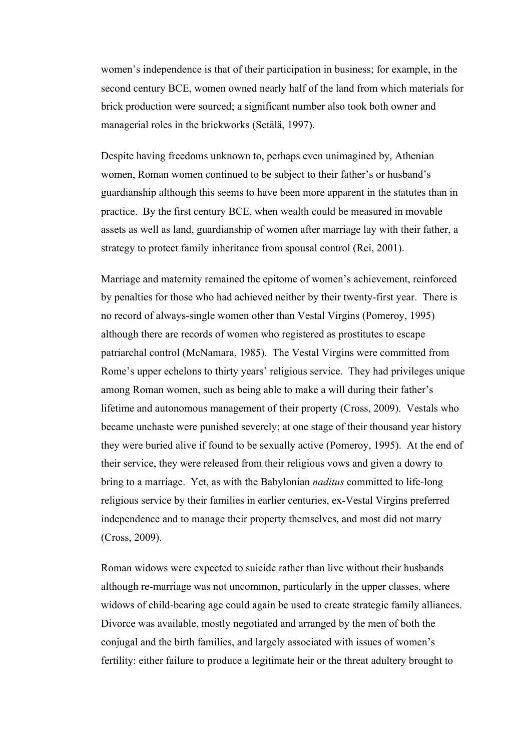women's independence is that of their participation in business; for example, in the second century BCE, women owned nearly half of the land from which materials for brick production were sourced; a significant number also took both owner and managerial roles in the brickworks (Setälä, 1997).

Despite having freedoms unknown to, perhaps even unimagined by, Athenian women, Roman women continued to be subject to their father's or husband's guardianship although this seems to have been more apparent in the statutes than in practice. By the first century BCE, when wealth could be measured in movable assets as well as land, guardianship of women after marriage lay with their father, a strategy to protect family inheritance from spousal control (Rei, 2001).

Marriage and maternity remained the epitome of women's achievement, reinforced by penalties for those who had achieved neither by their twenty-first year. There is no record of always-single women other than Vestal Virgins (Pomeroy, 1995) although there are records of women who registered as prostitutes to escape patriarchal control (McNamara, 1985). The Vestal Virgins were committed from Rome's upper echelons to thirty years' religious service. They had privileges unique among Roman women, such as being able to make a will during their father's lifetime and autonomous management of their property (Cross, 2009). Vestals who became unchaste were punished severely; at one stage of their thousand year history they were buried alive if found to be sexually active (Pomeroy, 1995). At the end of their service, they were released from their religious vows and given a dowry to bring to a marriage. Yet, as with the Babylonian *naditus* committed to life-long religious service by their families in earlier centuries, ex-Vestal Virgins preferred independence and to manage their property themselves, and most did not marry (Cross, 2009).

Roman widows were expected to suicide rather than live without their husbands although re-marriage was not uncommon, particularly in the upper classes, where widows of child-bearing age could again be used to create strategic family alliances. Divorce was available, mostly negotiated and arranged by the men of both the conjugal and the birth families, and largely associated with issues of women's fertility: either failure to produce a legitimate heir or the threat adultery brought to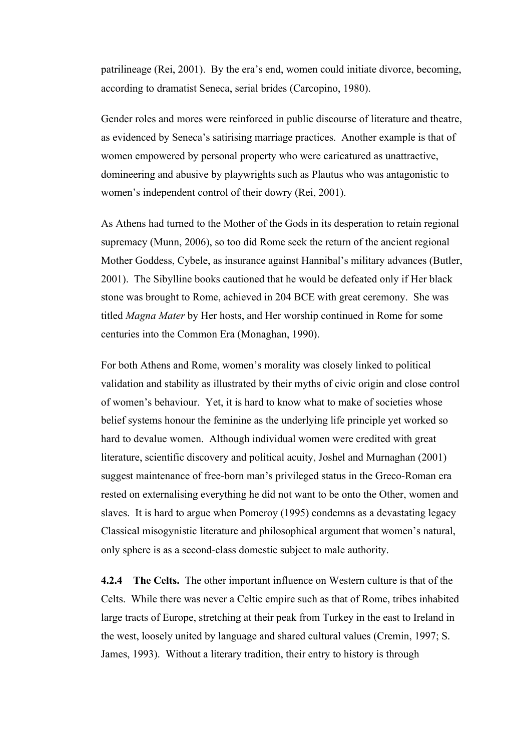patrilineage (Rei, 2001). By the era's end, women could initiate divorce, becoming, according to dramatist Seneca, serial brides (Carcopino, 1980).

Gender roles and mores were reinforced in public discourse of literature and theatre, as evidenced by Seneca's satirising marriage practices. Another example is that of women empowered by personal property who were caricatured as unattractive, domineering and abusive by playwrights such as Plautus who was antagonistic to women's independent control of their dowry (Rei, 2001).

As Athens had turned to the Mother of the Gods in its desperation to retain regional supremacy (Munn, 2006), so too did Rome seek the return of the ancient regional Mother Goddess, Cybele, as insurance against Hannibal's military advances (Butler, 2001). The Sibylline books cautioned that he would be defeated only if Her black stone was brought to Rome, achieved in 204 BCE with great ceremony. She was titled *Magna Mater* by Her hosts, and Her worship continued in Rome for some centuries into the Common Era (Monaghan, 1990).

For both Athens and Rome, women's morality was closely linked to political validation and stability as illustrated by their myths of civic origin and close control of women's behaviour. Yet, it is hard to know what to make of societies whose belief systems honour the feminine as the underlying life principle yet worked so hard to devalue women. Although individual women were credited with great literature, scientific discovery and political acuity, Joshel and Murnaghan (2001) suggest maintenance of free-born man's privileged status in the Greco-Roman era rested on externalising everything he did not want to be onto the Other, women and slaves. It is hard to argue when Pomeroy (1995) condemns as a devastating legacy Classical misogynistic literature and philosophical argument that women's natural, only sphere is as a second-class domestic subject to male authority.

**4.2.4 The Celts.** The other important influence on Western culture is that of the Celts. While there was never a Celtic empire such as that of Rome, tribes inhabited large tracts of Europe, stretching at their peak from Turkey in the east to Ireland in the west, loosely united by language and shared cultural values (Cremin, 1997; S. James, 1993). Without a literary tradition, their entry to history is through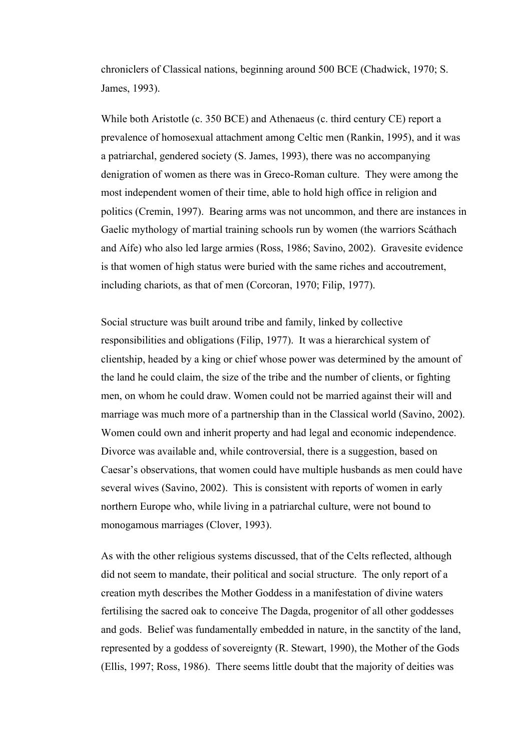chroniclers of Classical nations, beginning around 500 BCE (Chadwick, 1970; S. James, 1993).

While both Aristotle (c. 350 BCE) and Athenaeus (c. third century CE) report a prevalence of homosexual attachment among Celtic men (Rankin, 1995), and it was a patriarchal, gendered society (S. James, 1993), there was no accompanying denigration of women as there was in Greco-Roman culture. They were among the most independent women of their time, able to hold high office in religion and politics (Cremin, 1997). Bearing arms was not uncommon, and there are instances in Gaelic mythology of martial training schools run by women (the warriors Scáthach and Aífe) who also led large armies (Ross, 1986; Savino, 2002). Gravesite evidence is that women of high status were buried with the same riches and accoutrement, including chariots, as that of men (Corcoran, 1970; Filip, 1977).

Social structure was built around tribe and family, linked by collective responsibilities and obligations (Filip, 1977). It was a hierarchical system of clientship, headed by a king or chief whose power was determined by the amount of the land he could claim, the size of the tribe and the number of clients, or fighting men, on whom he could draw. Women could not be married against their will and marriage was much more of a partnership than in the Classical world (Savino, 2002). Women could own and inherit property and had legal and economic independence. Divorce was available and, while controversial, there is a suggestion, based on Caesar's observations, that women could have multiple husbands as men could have several wives (Savino, 2002). This is consistent with reports of women in early northern Europe who, while living in a patriarchal culture, were not bound to monogamous marriages (Clover, 1993).

As with the other religious systems discussed, that of the Celts reflected, although did not seem to mandate, their political and social structure. The only report of a creation myth describes the Mother Goddess in a manifestation of divine waters fertilising the sacred oak to conceive The Dagda, progenitor of all other goddesses and gods. Belief was fundamentally embedded in nature, in the sanctity of the land, represented by a goddess of sovereignty (R. Stewart, 1990), the Mother of the Gods (Ellis, 1997; Ross, 1986). There seems little doubt that the majority of deities was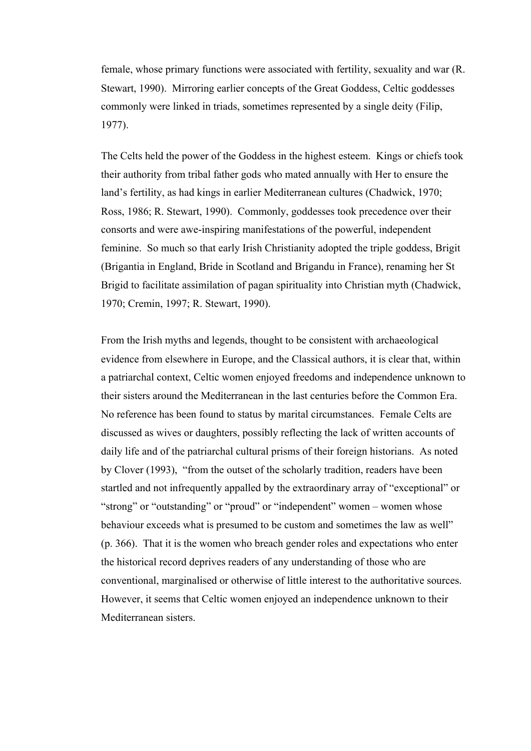female, whose primary functions were associated with fertility, sexuality and war (R. Stewart, 1990). Mirroring earlier concepts of the Great Goddess, Celtic goddesses commonly were linked in triads, sometimes represented by a single deity (Filip, 1977).

The Celts held the power of the Goddess in the highest esteem. Kings or chiefs took their authority from tribal father gods who mated annually with Her to ensure the land's fertility, as had kings in earlier Mediterranean cultures (Chadwick, 1970; Ross, 1986; R. Stewart, 1990). Commonly, goddesses took precedence over their consorts and were awe-inspiring manifestations of the powerful, independent feminine. So much so that early Irish Christianity adopted the triple goddess, Brigit (Brigantia in England, Bride in Scotland and Brigandu in France), renaming her St Brigid to facilitate assimilation of pagan spirituality into Christian myth (Chadwick, 1970; Cremin, 1997; R. Stewart, 1990).

From the Irish myths and legends, thought to be consistent with archaeological evidence from elsewhere in Europe, and the Classical authors, it is clear that, within a patriarchal context, Celtic women enjoyed freedoms and independence unknown to their sisters around the Mediterranean in the last centuries before the Common Era. No reference has been found to status by marital circumstances. Female Celts are discussed as wives or daughters, possibly reflecting the lack of written accounts of daily life and of the patriarchal cultural prisms of their foreign historians. As noted by Clover (1993), "from the outset of the scholarly tradition, readers have been startled and not infrequently appalled by the extraordinary array of "exceptional" or "strong" or "outstanding" or "proud" or "independent" women – women whose behaviour exceeds what is presumed to be custom and sometimes the law as well" (p. 366). That it is the women who breach gender roles and expectations who enter the historical record deprives readers of any understanding of those who are conventional, marginalised or otherwise of little interest to the authoritative sources. However, it seems that Celtic women enjoyed an independence unknown to their Mediterranean sisters.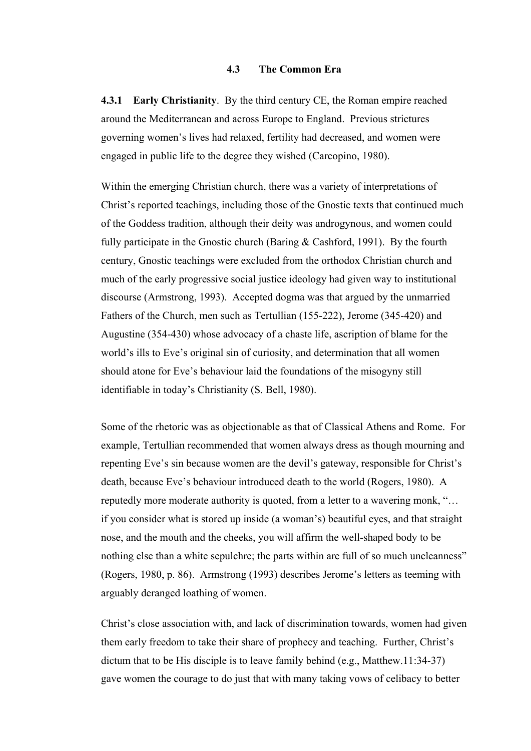## **4.3 The Common Era**

**4.3.1 Early Christianity**. By the third century CE, the Roman empire reached around the Mediterranean and across Europe to England. Previous strictures governing women's lives had relaxed, fertility had decreased, and women were engaged in public life to the degree they wished (Carcopino, 1980).

Within the emerging Christian church, there was a variety of interpretations of Christ's reported teachings, including those of the Gnostic texts that continued much of the Goddess tradition, although their deity was androgynous, and women could fully participate in the Gnostic church (Baring & Cashford, 1991). By the fourth century, Gnostic teachings were excluded from the orthodox Christian church and much of the early progressive social justice ideology had given way to institutional discourse (Armstrong, 1993). Accepted dogma was that argued by the unmarried Fathers of the Church, men such as Tertullian (155-222), Jerome (345-420) and Augustine (354-430) whose advocacy of a chaste life, ascription of blame for the world's ills to Eve's original sin of curiosity, and determination that all women should atone for Eve's behaviour laid the foundations of the misogyny still identifiable in today's Christianity (S. Bell, 1980).

Some of the rhetoric was as objectionable as that of Classical Athens and Rome. For example, Tertullian recommended that women always dress as though mourning and repenting Eve's sin because women are the devil's gateway, responsible for Christ's death, because Eve's behaviour introduced death to the world (Rogers, 1980). A reputedly more moderate authority is quoted, from a letter to a wavering monk, "… if you consider what is stored up inside (a woman's) beautiful eyes, and that straight nose, and the mouth and the cheeks, you will affirm the well-shaped body to be nothing else than a white sepulchre; the parts within are full of so much uncleanness" (Rogers, 1980, p. 86). Armstrong (1993) describes Jerome's letters as teeming with arguably deranged loathing of women.

Christ's close association with, and lack of discrimination towards, women had given them early freedom to take their share of prophecy and teaching. Further, Christ's dictum that to be His disciple is to leave family behind (e.g., Matthew.11:34-37) gave women the courage to do just that with many taking vows of celibacy to better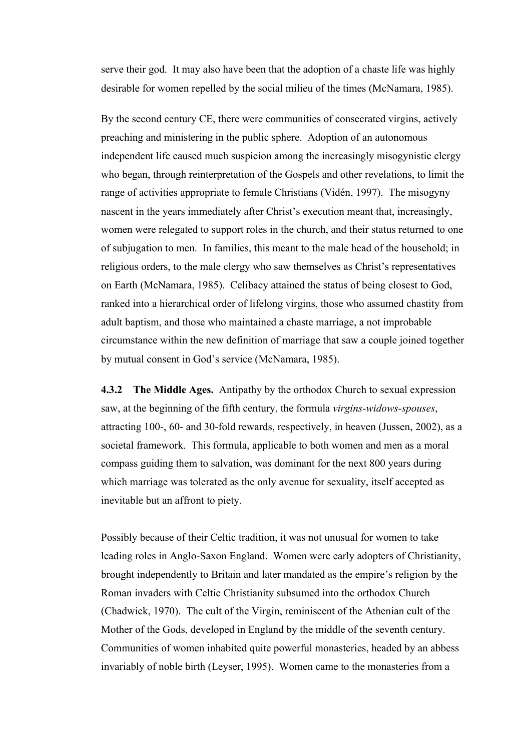serve their god. It may also have been that the adoption of a chaste life was highly desirable for women repelled by the social milieu of the times (McNamara, 1985).

By the second century CE, there were communities of consecrated virgins, actively preaching and ministering in the public sphere. Adoption of an autonomous independent life caused much suspicion among the increasingly misogynistic clergy who began, through reinterpretation of the Gospels and other revelations, to limit the range of activities appropriate to female Christians (Vidén, 1997). The misogyny nascent in the years immediately after Christ's execution meant that, increasingly, women were relegated to support roles in the church, and their status returned to one of subjugation to men. In families, this meant to the male head of the household; in religious orders, to the male clergy who saw themselves as Christ's representatives on Earth (McNamara, 1985). Celibacy attained the status of being closest to God, ranked into a hierarchical order of lifelong virgins, those who assumed chastity from adult baptism, and those who maintained a chaste marriage, a not improbable circumstance within the new definition of marriage that saw a couple joined together by mutual consent in God's service (McNamara, 1985).

**4.3.2 The Middle Ages.** Antipathy by the orthodox Church to sexual expression saw, at the beginning of the fifth century, the formula *virgins-widows-spouses*, attracting 100-, 60- and 30-fold rewards, respectively, in heaven (Jussen, 2002), as a societal framework. This formula, applicable to both women and men as a moral compass guiding them to salvation, was dominant for the next 800 years during which marriage was tolerated as the only avenue for sexuality, itself accepted as inevitable but an affront to piety.

Possibly because of their Celtic tradition, it was not unusual for women to take leading roles in Anglo-Saxon England. Women were early adopters of Christianity, brought independently to Britain and later mandated as the empire's religion by the Roman invaders with Celtic Christianity subsumed into the orthodox Church (Chadwick, 1970). The cult of the Virgin, reminiscent of the Athenian cult of the Mother of the Gods, developed in England by the middle of the seventh century. Communities of women inhabited quite powerful monasteries, headed by an abbess invariably of noble birth (Leyser, 1995). Women came to the monasteries from a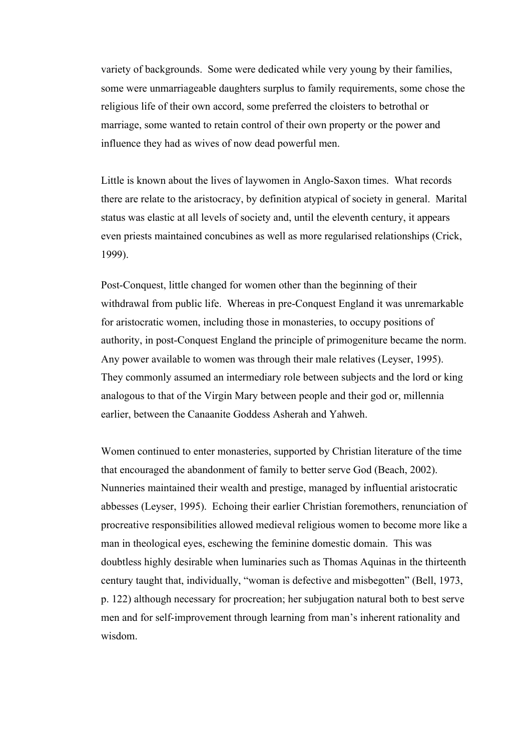variety of backgrounds. Some were dedicated while very young by their families, some were unmarriageable daughters surplus to family requirements, some chose the religious life of their own accord, some preferred the cloisters to betrothal or marriage, some wanted to retain control of their own property or the power and influence they had as wives of now dead powerful men.

Little is known about the lives of laywomen in Anglo-Saxon times. What records there are relate to the aristocracy, by definition atypical of society in general. Marital status was elastic at all levels of society and, until the eleventh century, it appears even priests maintained concubines as well as more regularised relationships (Crick, 1999).

Post-Conquest, little changed for women other than the beginning of their withdrawal from public life. Whereas in pre-Conquest England it was unremarkable for aristocratic women, including those in monasteries, to occupy positions of authority, in post-Conquest England the principle of primogeniture became the norm. Any power available to women was through their male relatives (Leyser, 1995). They commonly assumed an intermediary role between subjects and the lord or king analogous to that of the Virgin Mary between people and their god or, millennia earlier, between the Canaanite Goddess Asherah and Yahweh.

Women continued to enter monasteries, supported by Christian literature of the time that encouraged the abandonment of family to better serve God (Beach, 2002). Nunneries maintained their wealth and prestige, managed by influential aristocratic abbesses (Leyser, 1995). Echoing their earlier Christian foremothers, renunciation of procreative responsibilities allowed medieval religious women to become more like a man in theological eyes, eschewing the feminine domestic domain. This was doubtless highly desirable when luminaries such as Thomas Aquinas in the thirteenth century taught that, individually, "woman is defective and misbegotten" (Bell, 1973, p. 122) although necessary for procreation; her subjugation natural both to best serve men and for self-improvement through learning from man's inherent rationality and wisdom.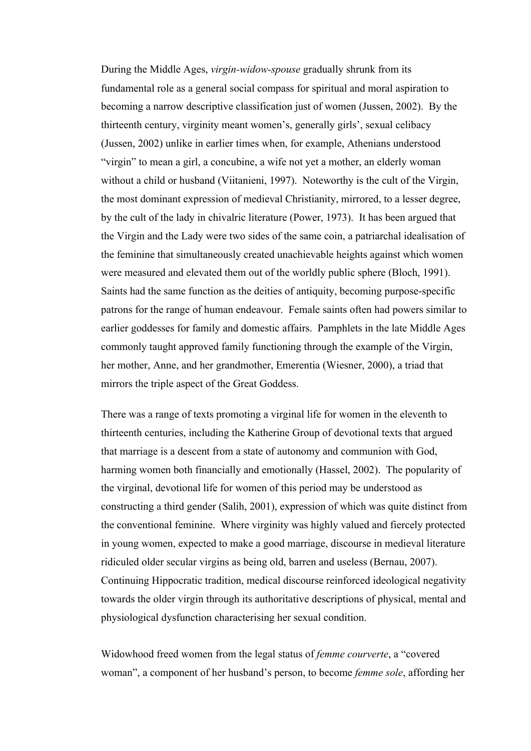During the Middle Ages, *virgin-widow-spouse* gradually shrunk from its fundamental role as a general social compass for spiritual and moral aspiration to becoming a narrow descriptive classification just of women (Jussen, 2002). By the thirteenth century, virginity meant women's, generally girls', sexual celibacy (Jussen, 2002) unlike in earlier times when, for example, Athenians understood "virgin" to mean a girl, a concubine, a wife not yet a mother, an elderly woman without a child or husband (Viitanieni, 1997). Noteworthy is the cult of the Virgin, the most dominant expression of medieval Christianity, mirrored, to a lesser degree, by the cult of the lady in chivalric literature (Power, 1973). It has been argued that the Virgin and the Lady were two sides of the same coin, a patriarchal idealisation of the feminine that simultaneously created unachievable heights against which women were measured and elevated them out of the worldly public sphere (Bloch, 1991). Saints had the same function as the deities of antiquity, becoming purpose-specific patrons for the range of human endeavour. Female saints often had powers similar to earlier goddesses for family and domestic affairs. Pamphlets in the late Middle Ages commonly taught approved family functioning through the example of the Virgin, her mother, Anne, and her grandmother, Emerentia (Wiesner, 2000), a triad that mirrors the triple aspect of the Great Goddess.

There was a range of texts promoting a virginal life for women in the eleventh to thirteenth centuries, including the Katherine Group of devotional texts that argued that marriage is a descent from a state of autonomy and communion with God, harming women both financially and emotionally (Hassel, 2002). The popularity of the virginal, devotional life for women of this period may be understood as constructing a third gender (Salih, 2001), expression of which was quite distinct from the conventional feminine. Where virginity was highly valued and fiercely protected in young women, expected to make a good marriage, discourse in medieval literature ridiculed older secular virgins as being old, barren and useless (Bernau, 2007). Continuing Hippocratic tradition, medical discourse reinforced ideological negativity towards the older virgin through its authoritative descriptions of physical, mental and physiological dysfunction characterising her sexual condition.

Widowhood freed women from the legal status of *femme courverte*, a "covered woman", a component of her husband's person, to become *femme sole*, affording her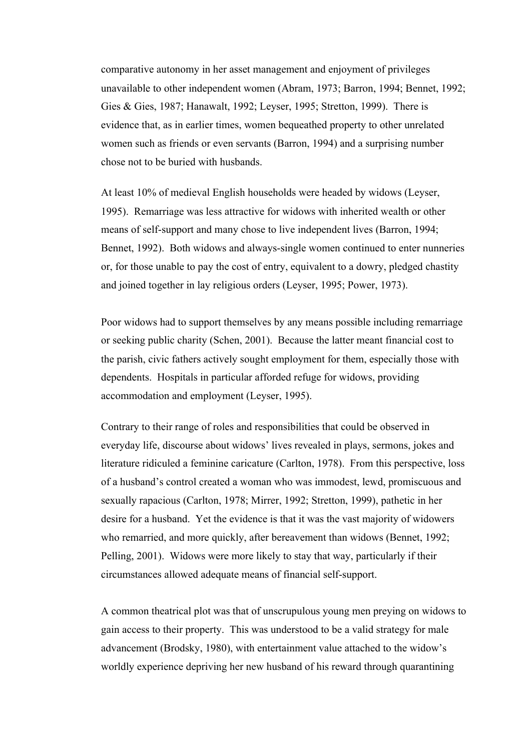comparative autonomy in her asset management and enjoyment of privileges unavailable to other independent women (Abram, 1973; Barron, 1994; Bennet, 1992; Gies & Gies, 1987; Hanawalt, 1992; Leyser, 1995; Stretton, 1999). There is evidence that, as in earlier times, women bequeathed property to other unrelated women such as friends or even servants (Barron, 1994) and a surprising number chose not to be buried with husbands.

At least 10% of medieval English households were headed by widows (Leyser, 1995). Remarriage was less attractive for widows with inherited wealth or other means of self-support and many chose to live independent lives (Barron, 1994; Bennet, 1992). Both widows and always-single women continued to enter nunneries or, for those unable to pay the cost of entry, equivalent to a dowry, pledged chastity and joined together in lay religious orders (Leyser, 1995; Power, 1973).

Poor widows had to support themselves by any means possible including remarriage or seeking public charity (Schen, 2001). Because the latter meant financial cost to the parish, civic fathers actively sought employment for them, especially those with dependents. Hospitals in particular afforded refuge for widows, providing accommodation and employment (Leyser, 1995).

Contrary to their range of roles and responsibilities that could be observed in everyday life, discourse about widows' lives revealed in plays, sermons, jokes and literature ridiculed a feminine caricature (Carlton, 1978). From this perspective, loss of a husband's control created a woman who was immodest, lewd, promiscuous and sexually rapacious (Carlton, 1978; Mirrer, 1992; Stretton, 1999), pathetic in her desire for a husband. Yet the evidence is that it was the vast majority of widowers who remarried, and more quickly, after bereavement than widows (Bennet, 1992; Pelling, 2001). Widows were more likely to stay that way, particularly if their circumstances allowed adequate means of financial self-support.

A common theatrical plot was that of unscrupulous young men preying on widows to gain access to their property. This was understood to be a valid strategy for male advancement (Brodsky, 1980), with entertainment value attached to the widow's worldly experience depriving her new husband of his reward through quarantining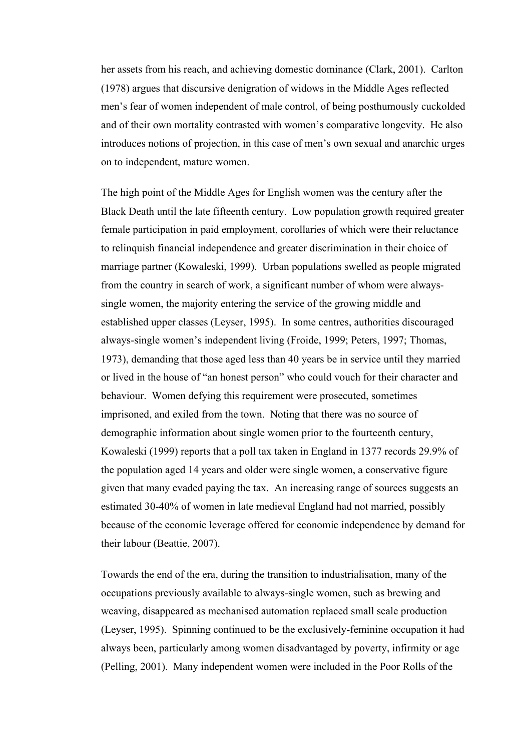her assets from his reach, and achieving domestic dominance (Clark, 2001). Carlton (1978) argues that discursive denigration of widows in the Middle Ages reflected men's fear of women independent of male control, of being posthumously cuckolded and of their own mortality contrasted with women's comparative longevity. He also introduces notions of projection, in this case of men's own sexual and anarchic urges on to independent, mature women.

The high point of the Middle Ages for English women was the century after the Black Death until the late fifteenth century. Low population growth required greater female participation in paid employment, corollaries of which were their reluctance to relinquish financial independence and greater discrimination in their choice of marriage partner (Kowaleski, 1999). Urban populations swelled as people migrated from the country in search of work, a significant number of whom were alwayssingle women, the majority entering the service of the growing middle and established upper classes (Leyser, 1995). In some centres, authorities discouraged always-single women's independent living (Froide, 1999; Peters, 1997; Thomas, 1973), demanding that those aged less than 40 years be in service until they married or lived in the house of "an honest person" who could vouch for their character and behaviour. Women defying this requirement were prosecuted, sometimes imprisoned, and exiled from the town. Noting that there was no source of demographic information about single women prior to the fourteenth century, Kowaleski (1999) reports that a poll tax taken in England in 1377 records 29.9% of the population aged 14 years and older were single women, a conservative figure given that many evaded paying the tax. An increasing range of sources suggests an estimated 30-40% of women in late medieval England had not married, possibly because of the economic leverage offered for economic independence by demand for their labour (Beattie, 2007).

Towards the end of the era, during the transition to industrialisation, many of the occupations previously available to always-single women, such as brewing and weaving, disappeared as mechanised automation replaced small scale production (Leyser, 1995). Spinning continued to be the exclusively-feminine occupation it had always been, particularly among women disadvantaged by poverty, infirmity or age (Pelling, 2001). Many independent women were included in the Poor Rolls of the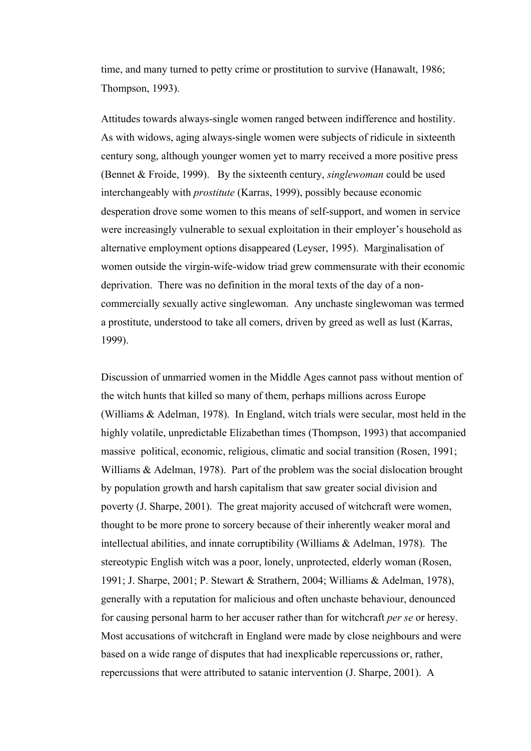time, and many turned to petty crime or prostitution to survive (Hanawalt, 1986; Thompson, 1993).

Attitudes towards always-single women ranged between indifference and hostility. As with widows, aging always-single women were subjects of ridicule in sixteenth century song, although younger women yet to marry received a more positive press (Bennet & Froide, 1999). By the sixteenth century, *singlewoman* could be used interchangeably with *prostitute* (Karras, 1999), possibly because economic desperation drove some women to this means of self-support, and women in service were increasingly vulnerable to sexual exploitation in their employer's household as alternative employment options disappeared (Leyser, 1995). Marginalisation of women outside the virgin-wife-widow triad grew commensurate with their economic deprivation. There was no definition in the moral texts of the day of a noncommercially sexually active singlewoman. Any unchaste singlewoman was termed a prostitute, understood to take all comers, driven by greed as well as lust (Karras, 1999).

Discussion of unmarried women in the Middle Ages cannot pass without mention of the witch hunts that killed so many of them, perhaps millions across Europe (Williams & Adelman, 1978). In England, witch trials were secular, most held in the highly volatile, unpredictable Elizabethan times (Thompson, 1993) that accompanied massive political, economic, religious, climatic and social transition (Rosen, 1991; Williams & Adelman, 1978). Part of the problem was the social dislocation brought by population growth and harsh capitalism that saw greater social division and poverty (J. Sharpe, 2001). The great majority accused of witchcraft were women, thought to be more prone to sorcery because of their inherently weaker moral and intellectual abilities, and innate corruptibility (Williams & Adelman, 1978). The stereotypic English witch was a poor, lonely, unprotected, elderly woman (Rosen, 1991; J. Sharpe, 2001; P. Stewart & Strathern, 2004; Williams & Adelman, 1978), generally with a reputation for malicious and often unchaste behaviour, denounced for causing personal harm to her accuser rather than for witchcraft *per se* or heresy. Most accusations of witchcraft in England were made by close neighbours and were based on a wide range of disputes that had inexplicable repercussions or, rather, repercussions that were attributed to satanic intervention (J. Sharpe, 2001). A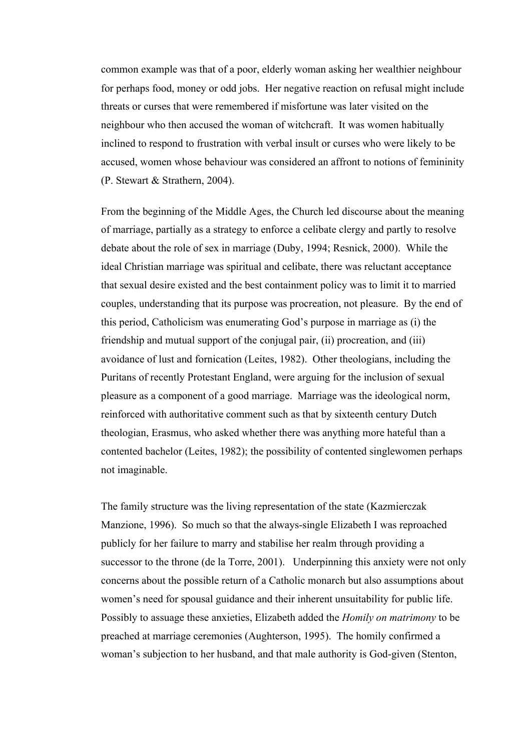common example was that of a poor, elderly woman asking her wealthier neighbour for perhaps food, money or odd jobs. Her negative reaction on refusal might include threats or curses that were remembered if misfortune was later visited on the neighbour who then accused the woman of witchcraft. It was women habitually inclined to respond to frustration with verbal insult or curses who were likely to be accused, women whose behaviour was considered an affront to notions of femininity (P. Stewart & Strathern, 2004).

From the beginning of the Middle Ages, the Church led discourse about the meaning of marriage, partially as a strategy to enforce a celibate clergy and partly to resolve debate about the role of sex in marriage (Duby, 1994; Resnick, 2000). While the ideal Christian marriage was spiritual and celibate, there was reluctant acceptance that sexual desire existed and the best containment policy was to limit it to married couples, understanding that its purpose was procreation, not pleasure. By the end of this period, Catholicism was enumerating God's purpose in marriage as (i) the friendship and mutual support of the conjugal pair, (ii) procreation, and (iii) avoidance of lust and fornication (Leites, 1982). Other theologians, including the Puritans of recently Protestant England, were arguing for the inclusion of sexual pleasure as a component of a good marriage. Marriage was the ideological norm, reinforced with authoritative comment such as that by sixteenth century Dutch theologian, Erasmus, who asked whether there was anything more hateful than a contented bachelor (Leites, 1982); the possibility of contented singlewomen perhaps not imaginable.

The family structure was the living representation of the state (Kazmierczak Manzione, 1996). So much so that the always-single Elizabeth I was reproached publicly for her failure to marry and stabilise her realm through providing a successor to the throne (de la Torre, 2001). Underpinning this anxiety were not only concerns about the possible return of a Catholic monarch but also assumptions about women's need for spousal guidance and their inherent unsuitability for public life. Possibly to assuage these anxieties, Elizabeth added the *Homily on matrimony* to be preached at marriage ceremonies (Aughterson, 1995). The homily confirmed a woman's subjection to her husband, and that male authority is God-given (Stenton,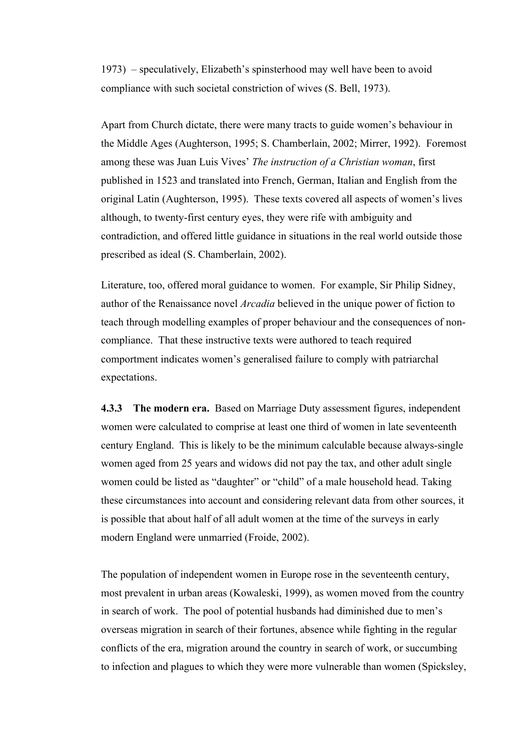1973) – speculatively, Elizabeth's spinsterhood may well have been to avoid compliance with such societal constriction of wives (S. Bell, 1973).

Apart from Church dictate, there were many tracts to guide women's behaviour in the Middle Ages (Aughterson, 1995; S. Chamberlain, 2002; Mirrer, 1992). Foremost among these was Juan Luis Vives' *The instruction of a Christian woman*, first published in 1523 and translated into French, German, Italian and English from the original Latin (Aughterson, 1995). These texts covered all aspects of women's lives although, to twenty-first century eyes, they were rife with ambiguity and contradiction, and offered little guidance in situations in the real world outside those prescribed as ideal (S. Chamberlain, 2002).

Literature, too, offered moral guidance to women. For example, Sir Philip Sidney, author of the Renaissance novel *Arcadia* believed in the unique power of fiction to teach through modelling examples of proper behaviour and the consequences of noncompliance. That these instructive texts were authored to teach required comportment indicates women's generalised failure to comply with patriarchal expectations.

**4.3.3 The modern era.** Based on Marriage Duty assessment figures, independent women were calculated to comprise at least one third of women in late seventeenth century England. This is likely to be the minimum calculable because always-single women aged from 25 years and widows did not pay the tax, and other adult single women could be listed as "daughter" or "child" of a male household head. Taking these circumstances into account and considering relevant data from other sources, it is possible that about half of all adult women at the time of the surveys in early modern England were unmarried (Froide, 2002).

The population of independent women in Europe rose in the seventeenth century, most prevalent in urban areas (Kowaleski, 1999), as women moved from the country in search of work. The pool of potential husbands had diminished due to men's overseas migration in search of their fortunes, absence while fighting in the regular conflicts of the era, migration around the country in search of work, or succumbing to infection and plagues to which they were more vulnerable than women (Spicksley,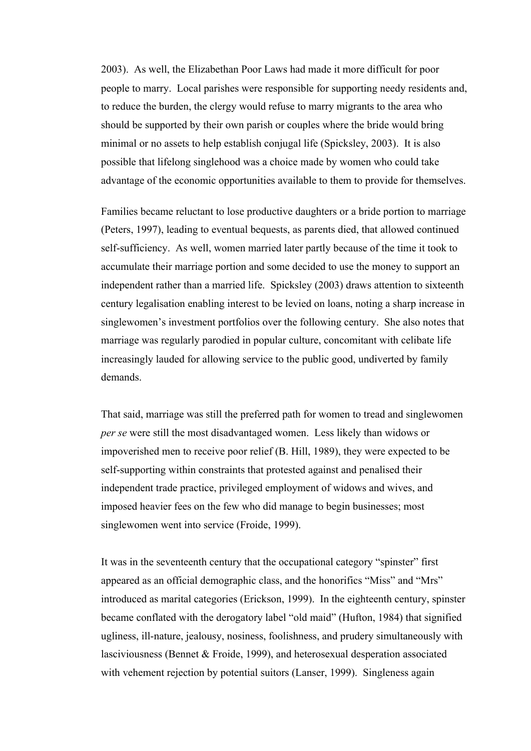2003). As well, the Elizabethan Poor Laws had made it more difficult for poor people to marry. Local parishes were responsible for supporting needy residents and, to reduce the burden, the clergy would refuse to marry migrants to the area who should be supported by their own parish or couples where the bride would bring minimal or no assets to help establish conjugal life (Spicksley, 2003). It is also possible that lifelong singlehood was a choice made by women who could take advantage of the economic opportunities available to them to provide for themselves.

Families became reluctant to lose productive daughters or a bride portion to marriage (Peters, 1997), leading to eventual bequests, as parents died, that allowed continued self-sufficiency. As well, women married later partly because of the time it took to accumulate their marriage portion and some decided to use the money to support an independent rather than a married life. Spicksley (2003) draws attention to sixteenth century legalisation enabling interest to be levied on loans, noting a sharp increase in singlewomen's investment portfolios over the following century. She also notes that marriage was regularly parodied in popular culture, concomitant with celibate life increasingly lauded for allowing service to the public good, undiverted by family demands.

That said, marriage was still the preferred path for women to tread and singlewomen *per se* were still the most disadvantaged women. Less likely than widows or impoverished men to receive poor relief (B. Hill, 1989), they were expected to be self-supporting within constraints that protested against and penalised their independent trade practice, privileged employment of widows and wives, and imposed heavier fees on the few who did manage to begin businesses; most singlewomen went into service (Froide, 1999).

It was in the seventeenth century that the occupational category "spinster" first appeared as an official demographic class, and the honorifics "Miss" and "Mrs" introduced as marital categories (Erickson, 1999). In the eighteenth century, spinster became conflated with the derogatory label "old maid" (Hufton, 1984) that signified ugliness, ill-nature, jealousy, nosiness, foolishness, and prudery simultaneously with lasciviousness (Bennet & Froide, 1999), and heterosexual desperation associated with vehement rejection by potential suitors (Lanser, 1999). Singleness again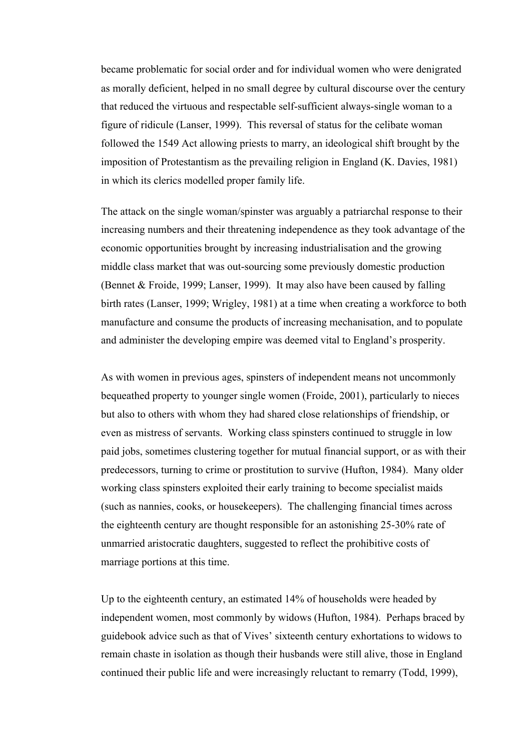became problematic for social order and for individual women who were denigrated as morally deficient, helped in no small degree by cultural discourse over the century that reduced the virtuous and respectable self-sufficient always-single woman to a figure of ridicule (Lanser, 1999). This reversal of status for the celibate woman followed the 1549 Act allowing priests to marry, an ideological shift brought by the imposition of Protestantism as the prevailing religion in England (K. Davies, 1981) in which its clerics modelled proper family life.

The attack on the single woman/spinster was arguably a patriarchal response to their increasing numbers and their threatening independence as they took advantage of the economic opportunities brought by increasing industrialisation and the growing middle class market that was out-sourcing some previously domestic production (Bennet & Froide, 1999; Lanser, 1999). It may also have been caused by falling birth rates (Lanser, 1999; Wrigley, 1981) at a time when creating a workforce to both manufacture and consume the products of increasing mechanisation, and to populate and administer the developing empire was deemed vital to England's prosperity.

As with women in previous ages, spinsters of independent means not uncommonly bequeathed property to younger single women (Froide, 2001), particularly to nieces but also to others with whom they had shared close relationships of friendship, or even as mistress of servants. Working class spinsters continued to struggle in low paid jobs, sometimes clustering together for mutual financial support, or as with their predecessors, turning to crime or prostitution to survive (Hufton, 1984). Many older working class spinsters exploited their early training to become specialist maids (such as nannies, cooks, or housekeepers). The challenging financial times across the eighteenth century are thought responsible for an astonishing 25-30% rate of unmarried aristocratic daughters, suggested to reflect the prohibitive costs of marriage portions at this time.

Up to the eighteenth century, an estimated 14% of households were headed by independent women, most commonly by widows (Hufton, 1984). Perhaps braced by guidebook advice such as that of Vives' sixteenth century exhortations to widows to remain chaste in isolation as though their husbands were still alive, those in England continued their public life and were increasingly reluctant to remarry (Todd, 1999),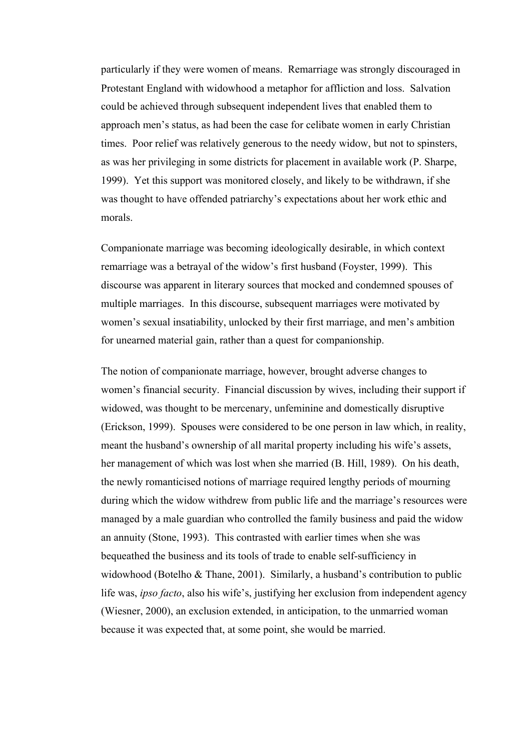particularly if they were women of means. Remarriage was strongly discouraged in Protestant England with widowhood a metaphor for affliction and loss. Salvation could be achieved through subsequent independent lives that enabled them to approach men's status, as had been the case for celibate women in early Christian times. Poor relief was relatively generous to the needy widow, but not to spinsters, as was her privileging in some districts for placement in available work (P. Sharpe, 1999). Yet this support was monitored closely, and likely to be withdrawn, if she was thought to have offended patriarchy's expectations about her work ethic and morals.

Companionate marriage was becoming ideologically desirable, in which context remarriage was a betrayal of the widow's first husband (Foyster, 1999). This discourse was apparent in literary sources that mocked and condemned spouses of multiple marriages. In this discourse, subsequent marriages were motivated by women's sexual insatiability, unlocked by their first marriage, and men's ambition for unearned material gain, rather than a quest for companionship.

The notion of companionate marriage, however, brought adverse changes to women's financial security. Financial discussion by wives, including their support if widowed, was thought to be mercenary, unfeminine and domestically disruptive (Erickson, 1999). Spouses were considered to be one person in law which, in reality, meant the husband's ownership of all marital property including his wife's assets, her management of which was lost when she married (B. Hill, 1989). On his death, the newly romanticised notions of marriage required lengthy periods of mourning during which the widow withdrew from public life and the marriage's resources were managed by a male guardian who controlled the family business and paid the widow an annuity (Stone, 1993). This contrasted with earlier times when she was bequeathed the business and its tools of trade to enable self-sufficiency in widowhood (Botelho & Thane, 2001). Similarly, a husband's contribution to public life was, *ipso facto*, also his wife's, justifying her exclusion from independent agency (Wiesner, 2000), an exclusion extended, in anticipation, to the unmarried woman because it was expected that, at some point, she would be married.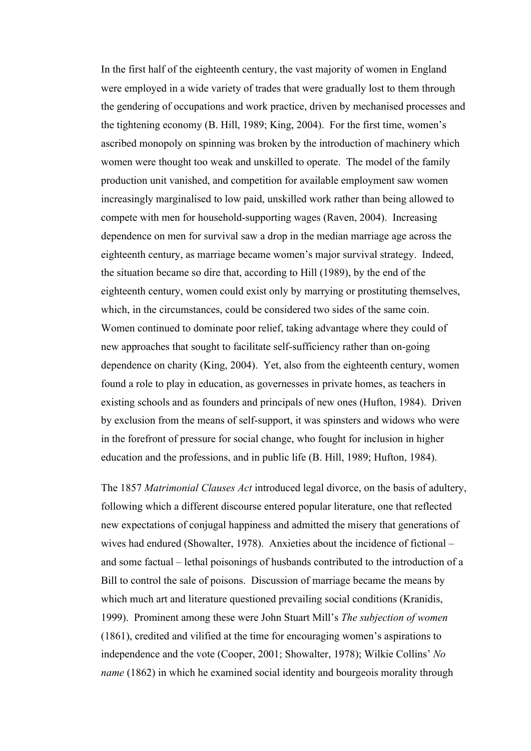In the first half of the eighteenth century, the vast majority of women in England were employed in a wide variety of trades that were gradually lost to them through the gendering of occupations and work practice, driven by mechanised processes and the tightening economy (B. Hill, 1989; King, 2004). For the first time, women's ascribed monopoly on spinning was broken by the introduction of machinery which women were thought too weak and unskilled to operate. The model of the family production unit vanished, and competition for available employment saw women increasingly marginalised to low paid, unskilled work rather than being allowed to compete with men for household-supporting wages (Raven, 2004). Increasing dependence on men for survival saw a drop in the median marriage age across the eighteenth century, as marriage became women's major survival strategy. Indeed, the situation became so dire that, according to Hill (1989), by the end of the eighteenth century, women could exist only by marrying or prostituting themselves, which, in the circumstances, could be considered two sides of the same coin. Women continued to dominate poor relief, taking advantage where they could of new approaches that sought to facilitate self-sufficiency rather than on-going dependence on charity (King, 2004). Yet, also from the eighteenth century, women found a role to play in education, as governesses in private homes, as teachers in existing schools and as founders and principals of new ones (Hufton, 1984). Driven by exclusion from the means of self-support, it was spinsters and widows who were in the forefront of pressure for social change, who fought for inclusion in higher education and the professions, and in public life (B. Hill, 1989; Hufton, 1984).

The 1857 *Matrimonial Clauses Act* introduced legal divorce, on the basis of adultery, following which a different discourse entered popular literature, one that reflected new expectations of conjugal happiness and admitted the misery that generations of wives had endured (Showalter, 1978). Anxieties about the incidence of fictional – and some factual – lethal poisonings of husbands contributed to the introduction of a Bill to control the sale of poisons. Discussion of marriage became the means by which much art and literature questioned prevailing social conditions (Kranidis, 1999). Prominent among these were John Stuart Mill's *The subjection of women*  (1861), credited and vilified at the time for encouraging women's aspirations to independence and the vote (Cooper, 2001; Showalter, 1978); Wilkie Collins' *No name* (1862) in which he examined social identity and bourgeois morality through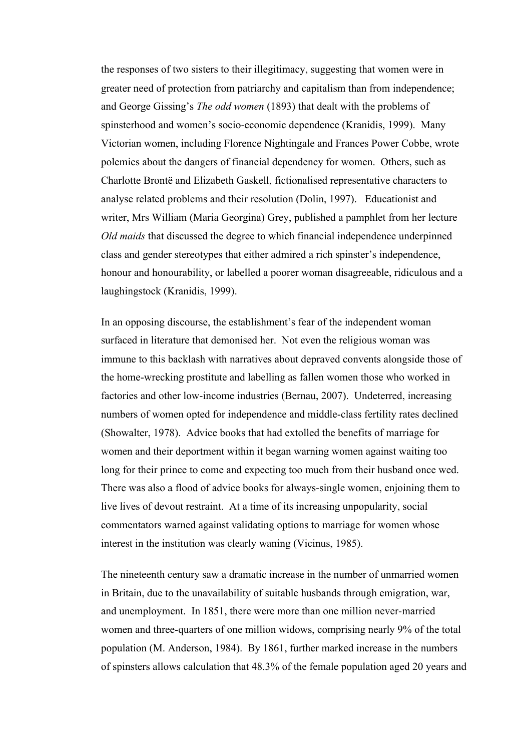the responses of two sisters to their illegitimacy, suggesting that women were in greater need of protection from patriarchy and capitalism than from independence; and George Gissing's *The odd women* (1893) that dealt with the problems of spinsterhood and women's socio-economic dependence (Kranidis, 1999). Many Victorian women, including Florence Nightingale and Frances Power Cobbe, wrote polemics about the dangers of financial dependency for women. Others, such as Charlotte Brontë and Elizabeth Gaskell, fictionalised representative characters to analyse related problems and their resolution (Dolin, 1997). Educationist and writer, Mrs William (Maria Georgina) Grey, published a pamphlet from her lecture *Old maids* that discussed the degree to which financial independence underpinned class and gender stereotypes that either admired a rich spinster's independence, honour and honourability, or labelled a poorer woman disagreeable, ridiculous and a laughingstock (Kranidis, 1999).

In an opposing discourse, the establishment's fear of the independent woman surfaced in literature that demonised her. Not even the religious woman was immune to this backlash with narratives about depraved convents alongside those of the home-wrecking prostitute and labelling as fallen women those who worked in factories and other low-income industries (Bernau, 2007). Undeterred, increasing numbers of women opted for independence and middle-class fertility rates declined (Showalter, 1978). Advice books that had extolled the benefits of marriage for women and their deportment within it began warning women against waiting too long for their prince to come and expecting too much from their husband once wed. There was also a flood of advice books for always-single women, enjoining them to live lives of devout restraint. At a time of its increasing unpopularity, social commentators warned against validating options to marriage for women whose interest in the institution was clearly waning (Vicinus, 1985).

The nineteenth century saw a dramatic increase in the number of unmarried women in Britain, due to the unavailability of suitable husbands through emigration, war, and unemployment. In 1851, there were more than one million never-married women and three-quarters of one million widows, comprising nearly 9% of the total population (M. Anderson, 1984). By 1861, further marked increase in the numbers of spinsters allows calculation that 48.3% of the female population aged 20 years and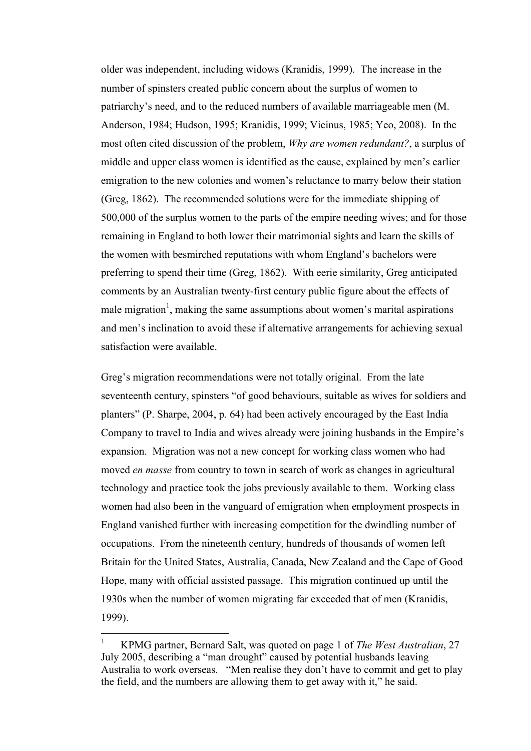older was independent, including widows (Kranidis, 1999). The increase in the number of spinsters created public concern about the surplus of women to patriarchy's need, and to the reduced numbers of available marriageable men (M. Anderson, 1984; Hudson, 1995; Kranidis, 1999; Vicinus, 1985; Yeo, 2008). In the most often cited discussion of the problem, *Why are women redundant?*, a surplus of middle and upper class women is identified as the cause, explained by men's earlier emigration to the new colonies and women's reluctance to marry below their station (Greg, 1862). The recommended solutions were for the immediate shipping of 500,000 of the surplus women to the parts of the empire needing wives; and for those remaining in England to both lower their matrimonial sights and learn the skills of the women with besmirched reputations with whom England's bachelors were preferring to spend their time (Greg, 1862). With eerie similarity, Greg anticipated comments by an Australian twenty-first century public figure about the effects of male migration<sup>1</sup>, making the same assumptions about women's marital aspirations and men's inclination to avoid these if alternative arrangements for achieving sexual satisfaction were available.

Greg's migration recommendations were not totally original. From the late seventeenth century, spinsters "of good behaviours, suitable as wives for soldiers and planters" (P. Sharpe, 2004, p. 64) had been actively encouraged by the East India Company to travel to India and wives already were joining husbands in the Empire's expansion. Migration was not a new concept for working class women who had moved *en masse* from country to town in search of work as changes in agricultural technology and practice took the jobs previously available to them. Working class women had also been in the vanguard of emigration when employment prospects in England vanished further with increasing competition for the dwindling number of occupations. From the nineteenth century, hundreds of thousands of women left Britain for the United States, Australia, Canada, New Zealand and the Cape of Good Hope, many with official assisted passage. This migration continued up until the 1930s when the number of women migrating far exceeded that of men (Kranidis, 1999).

 $\frac{1}{1}$  KPMG partner, Bernard Salt, was quoted on page 1 of *The West Australian*, 27 July 2005, describing a "man drought" caused by potential husbands leaving Australia to work overseas. "Men realise they don't have to commit and get to play the field, and the numbers are allowing them to get away with it," he said.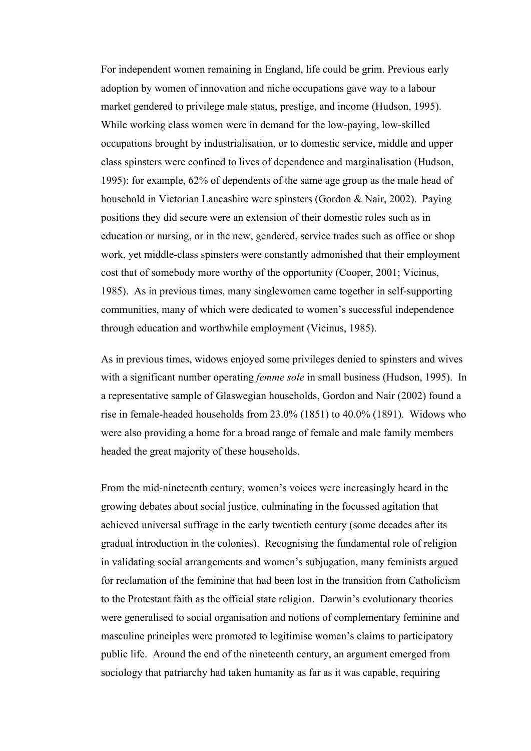For independent women remaining in England, life could be grim. Previous early adoption by women of innovation and niche occupations gave way to a labour market gendered to privilege male status, prestige, and income (Hudson, 1995). While working class women were in demand for the low-paying, low-skilled occupations brought by industrialisation, or to domestic service, middle and upper class spinsters were confined to lives of dependence and marginalisation (Hudson, 1995): for example, 62% of dependents of the same age group as the male head of household in Victorian Lancashire were spinsters (Gordon & Nair, 2002). Paying positions they did secure were an extension of their domestic roles such as in education or nursing, or in the new, gendered, service trades such as office or shop work, yet middle-class spinsters were constantly admonished that their employment cost that of somebody more worthy of the opportunity (Cooper, 2001; Vicinus, 1985). As in previous times, many singlewomen came together in self-supporting communities, many of which were dedicated to women's successful independence through education and worthwhile employment (Vicinus, 1985).

As in previous times, widows enjoyed some privileges denied to spinsters and wives with a significant number operating *femme sole* in small business (Hudson, 1995). In a representative sample of Glaswegian households, Gordon and Nair (2002) found a rise in female-headed households from 23.0% (1851) to 40.0% (1891). Widows who were also providing a home for a broad range of female and male family members headed the great majority of these households.

From the mid-nineteenth century, women's voices were increasingly heard in the growing debates about social justice, culminating in the focussed agitation that achieved universal suffrage in the early twentieth century (some decades after its gradual introduction in the colonies). Recognising the fundamental role of religion in validating social arrangements and women's subjugation, many feminists argued for reclamation of the feminine that had been lost in the transition from Catholicism to the Protestant faith as the official state religion. Darwin's evolutionary theories were generalised to social organisation and notions of complementary feminine and masculine principles were promoted to legitimise women's claims to participatory public life. Around the end of the nineteenth century, an argument emerged from sociology that patriarchy had taken humanity as far as it was capable, requiring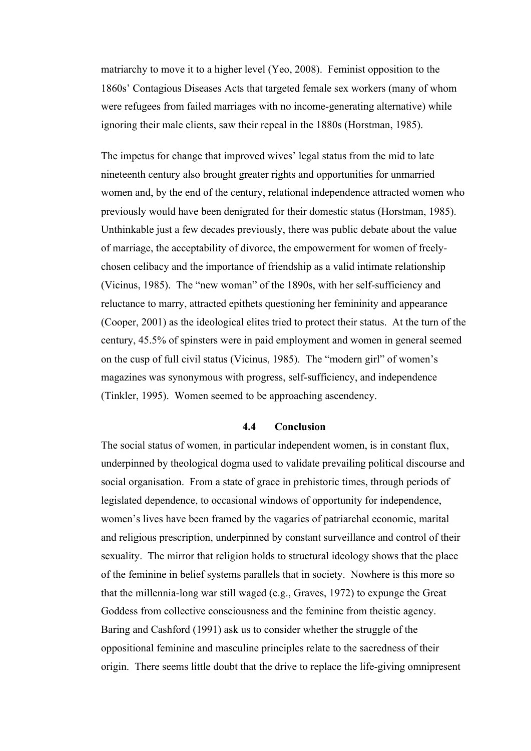matriarchy to move it to a higher level (Yeo, 2008). Feminist opposition to the 1860s' Contagious Diseases Acts that targeted female sex workers (many of whom were refugees from failed marriages with no income-generating alternative) while ignoring their male clients, saw their repeal in the 1880s (Horstman, 1985).

The impetus for change that improved wives' legal status from the mid to late nineteenth century also brought greater rights and opportunities for unmarried women and, by the end of the century, relational independence attracted women who previously would have been denigrated for their domestic status (Horstman, 1985). Unthinkable just a few decades previously, there was public debate about the value of marriage, the acceptability of divorce, the empowerment for women of freelychosen celibacy and the importance of friendship as a valid intimate relationship (Vicinus, 1985). The "new woman" of the 1890s, with her self-sufficiency and reluctance to marry, attracted epithets questioning her femininity and appearance (Cooper, 2001) as the ideological elites tried to protect their status. At the turn of the century, 45.5% of spinsters were in paid employment and women in general seemed on the cusp of full civil status (Vicinus, 1985). The "modern girl" of women's magazines was synonymous with progress, self-sufficiency, and independence (Tinkler, 1995). Women seemed to be approaching ascendency.

### **4.4 Conclusion**

The social status of women, in particular independent women, is in constant flux, underpinned by theological dogma used to validate prevailing political discourse and social organisation. From a state of grace in prehistoric times, through periods of legislated dependence, to occasional windows of opportunity for independence, women's lives have been framed by the vagaries of patriarchal economic, marital and religious prescription, underpinned by constant surveillance and control of their sexuality. The mirror that religion holds to structural ideology shows that the place of the feminine in belief systems parallels that in society. Nowhere is this more so that the millennia-long war still waged (e.g., Graves, 1972) to expunge the Great Goddess from collective consciousness and the feminine from theistic agency. Baring and Cashford (1991) ask us to consider whether the struggle of the oppositional feminine and masculine principles relate to the sacredness of their origin. There seems little doubt that the drive to replace the life-giving omnipresent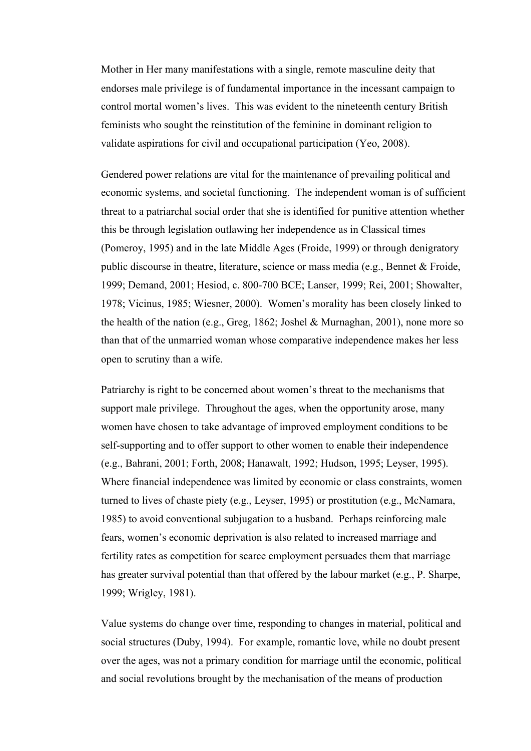Mother in Her many manifestations with a single, remote masculine deity that endorses male privilege is of fundamental importance in the incessant campaign to control mortal women's lives. This was evident to the nineteenth century British feminists who sought the reinstitution of the feminine in dominant religion to validate aspirations for civil and occupational participation (Yeo, 2008).

Gendered power relations are vital for the maintenance of prevailing political and economic systems, and societal functioning. The independent woman is of sufficient threat to a patriarchal social order that she is identified for punitive attention whether this be through legislation outlawing her independence as in Classical times (Pomeroy, 1995) and in the late Middle Ages (Froide, 1999) or through denigratory public discourse in theatre, literature, science or mass media (e.g., Bennet & Froide, 1999; Demand, 2001; Hesiod, c. 800-700 BCE; Lanser, 1999; Rei, 2001; Showalter, 1978; Vicinus, 1985; Wiesner, 2000). Women's morality has been closely linked to the health of the nation (e.g., Greg, 1862; Joshel & Murnaghan, 2001), none more so than that of the unmarried woman whose comparative independence makes her less open to scrutiny than a wife.

Patriarchy is right to be concerned about women's threat to the mechanisms that support male privilege. Throughout the ages, when the opportunity arose, many women have chosen to take advantage of improved employment conditions to be self-supporting and to offer support to other women to enable their independence (e.g., Bahrani, 2001; Forth, 2008; Hanawalt, 1992; Hudson, 1995; Leyser, 1995). Where financial independence was limited by economic or class constraints, women turned to lives of chaste piety (e.g., Leyser, 1995) or prostitution (e.g., McNamara, 1985) to avoid conventional subjugation to a husband. Perhaps reinforcing male fears, women's economic deprivation is also related to increased marriage and fertility rates as competition for scarce employment persuades them that marriage has greater survival potential than that offered by the labour market (e.g., P. Sharpe, 1999; Wrigley, 1981).

Value systems do change over time, responding to changes in material, political and social structures (Duby, 1994). For example, romantic love, while no doubt present over the ages, was not a primary condition for marriage until the economic, political and social revolutions brought by the mechanisation of the means of production